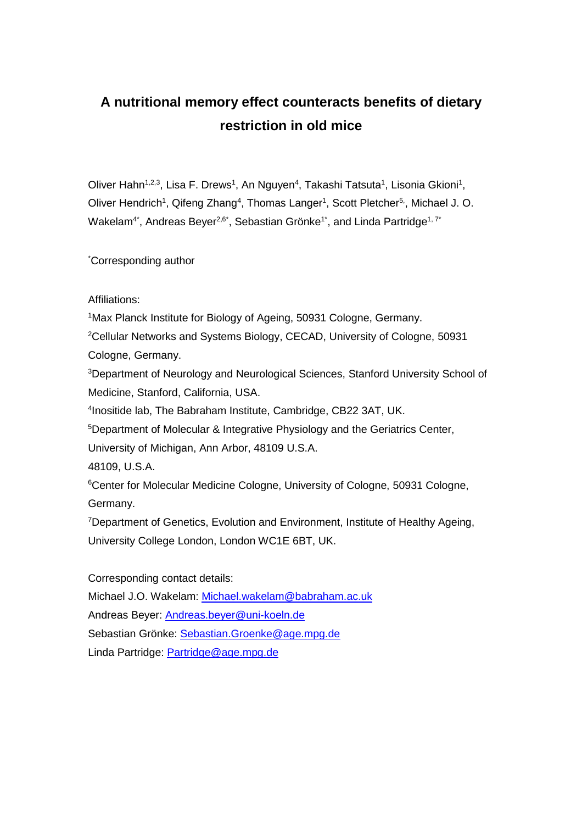# **A nutritional memory effect counteracts benefits of dietary restriction in old mice**

Oliver Hahn<sup>1,2,3</sup>, Lisa F. Drews<sup>1</sup>, An Nguyen<sup>4</sup>, Takashi Tatsuta<sup>1</sup>, Lisonia Gkioni<sup>1</sup>, Oliver Hendrich<sup>1</sup>, Qifeng Zhang<sup>4</sup>, Thomas Langer<sup>1</sup>, Scott Pletcher<sup>5,</sup>, Michael J. O. Wakelam<sup>4\*</sup>, Andreas Beyer<sup>2,6\*</sup>, Sebastian Grönke<sup>1\*</sup>, and Linda Partridge<sup>1, 7\*</sup>

\*Corresponding author

Affiliations:

<sup>1</sup>Max Planck Institute for Biology of Ageing, 50931 Cologne, Germany.

<sup>2</sup>Cellular Networks and Systems Biology, CECAD, University of Cologne, 50931 Cologne, Germany.

<sup>3</sup>Department of Neurology and Neurological Sciences, Stanford University School of Medicine, Stanford, California, USA.

4 Inositide lab, The Babraham Institute, Cambridge, CB22 3AT, UK.

<sup>5</sup>Department of Molecular & Integrative Physiology and the Geriatrics Center,

University of Michigan, Ann Arbor, 48109 U.S.A.

48109, U.S.A.

<sup>6</sup>Center for Molecular Medicine Cologne, University of Cologne, 50931 Cologne, Germany.

<sup>7</sup>Department of Genetics, Evolution and Environment, Institute of Healthy Ageing, University College London, London WC1E 6BT, UK.

Corresponding contact details: Michael J.O. Wakelam: [Michael.wakelam@babraham.ac.uk](mailto:Michael.wakelam@babraham.ac.uk) Andreas Beyer: [Andreas.beyer@uni-koeln.de](mailto:Andreas.beyer@uni-koeln.de) Sebastian Grönke: [Sebastian.Groenke@age.mpg.de](mailto:Sebastian.Groenke@age.mpg.de) Linda Partridge: [Partridge@age.mpg.de](mailto:Partridge@age.mpg.de)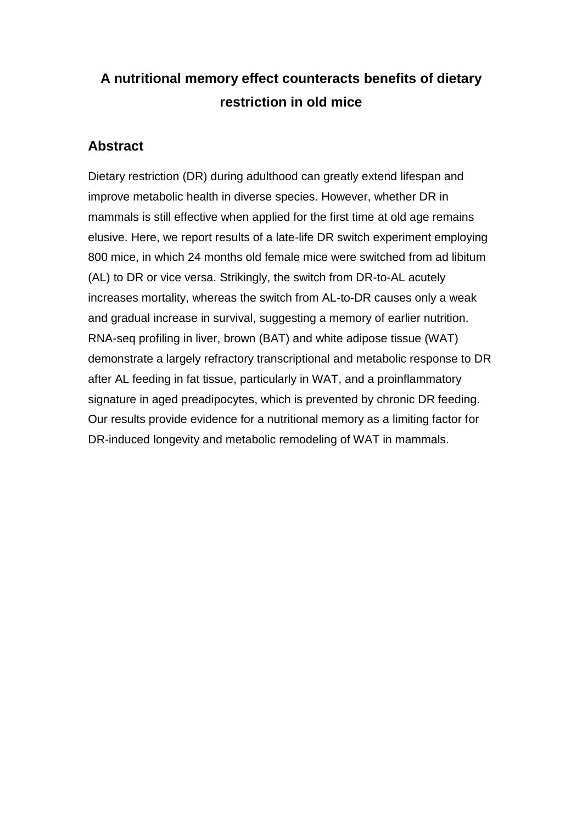# **A nutritional memory effect counteracts benefits of dietary restriction in old mice**

## **Abstract**

Dietary restriction (DR) during adulthood can greatly extend lifespan and improve metabolic health in diverse species. However, whether DR in mammals is still effective when applied for the first time at old age remains elusive. Here, we report results of a late-life DR switch experiment employing 800 mice, in which 24 months old female mice were switched from ad libitum (AL) to DR or vice versa. Strikingly, the switch from DR-to-AL acutely increases mortality, whereas the switch from AL-to-DR causes only a weak and gradual increase in survival, suggesting a memory of earlier nutrition. RNA-seq profiling in liver, brown (BAT) and white adipose tissue (WAT) demonstrate a largely refractory transcriptional and metabolic response to DR after AL feeding in fat tissue, particularly in WAT, and a proinflammatory signature in aged preadipocytes, which is prevented by chronic DR feeding. Our results provide evidence for a nutritional memory as a limiting factor for DR-induced longevity and metabolic remodeling of WAT in mammals.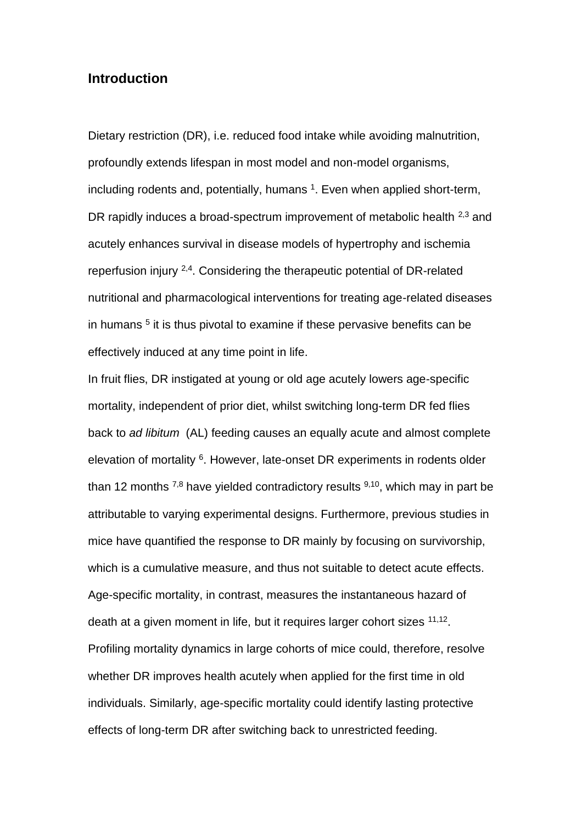## **Introduction**

Dietary restriction (DR), i.e. reduced food intake while avoiding malnutrition, profoundly extends lifespan in most model and non-model organisms, including rodents and, potentially, humans <sup>1</sup>. Even when applied short-term, DR rapidly induces a broad-spectrum improvement of metabolic health <sup>2,3</sup> and acutely enhances survival in disease models of hypertrophy and ischemia reperfusion injury 2,4. Considering the therapeutic potential of DR-related nutritional and pharmacological interventions for treating age-related diseases in humans <sup>5</sup> it is thus pivotal to examine if these pervasive benefits can be effectively induced at any time point in life.

In fruit flies, DR instigated at young or old age acutely lowers age-specific mortality, independent of prior diet, whilst switching long-term DR fed flies back to *ad libitum* (AL) feeding causes an equally acute and almost complete elevation of mortality <sup>6</sup>. However, late-onset DR experiments in rodents older than 12 months  $^{7,8}$  have yielded contradictory results  $^{9,10}$ , which may in part be attributable to varying experimental designs. Furthermore, previous studies in mice have quantified the response to DR mainly by focusing on survivorship, which is a cumulative measure, and thus not suitable to detect acute effects. Age-specific mortality, in contrast, measures the instantaneous hazard of death at a given moment in life, but it requires larger cohort sizes <sup>11,12</sup>. Profiling mortality dynamics in large cohorts of mice could, therefore, resolve whether DR improves health acutely when applied for the first time in old individuals. Similarly, age-specific mortality could identify lasting protective effects of long-term DR after switching back to unrestricted feeding.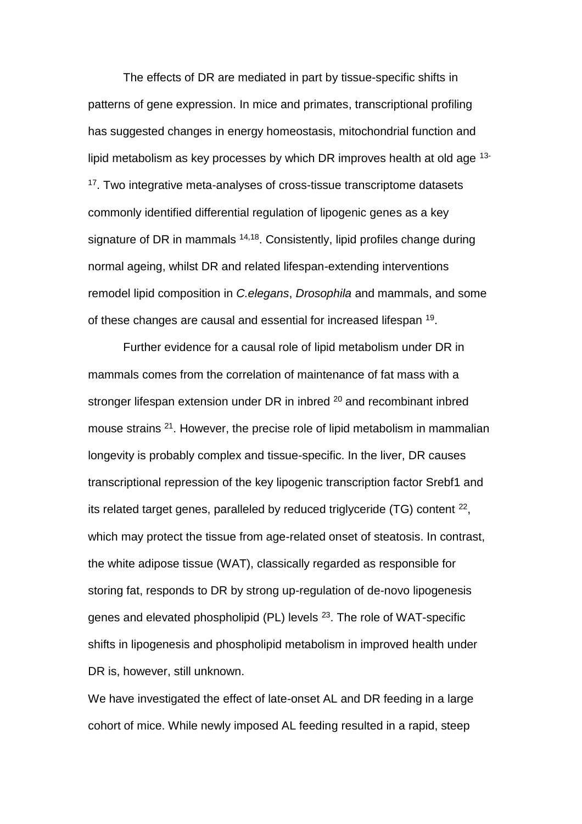The effects of DR are mediated in part by tissue-specific shifts in patterns of gene expression. In mice and primates, transcriptional profiling has suggested changes in energy homeostasis, mitochondrial function and lipid metabolism as key processes by which DR improves health at old age 13- <sup>17</sup>. Two integrative meta-analyses of cross-tissue transcriptome datasets commonly identified differential regulation of lipogenic genes as a key signature of DR in mammals  $14,18$ . Consistently, lipid profiles change during normal ageing, whilst DR and related lifespan-extending interventions remodel lipid composition in *C.elegans*, *Drosophila* and mammals, and some of these changes are causal and essential for increased lifespan <sup>19</sup>.

Further evidence for a causal role of lipid metabolism under DR in mammals comes from the correlation of maintenance of fat mass with a stronger lifespan extension under DR in inbred <sup>20</sup> and recombinant inbred mouse strains <sup>21</sup>. However, the precise role of lipid metabolism in mammalian longevity is probably complex and tissue-specific. In the liver, DR causes transcriptional repression of the key lipogenic transcription factor Srebf1 and its related target genes, paralleled by reduced triglyceride (TG) content  $^{22}$ , which may protect the tissue from age-related onset of steatosis. In contrast, the white adipose tissue (WAT), classically regarded as responsible for storing fat, responds to DR by strong up-regulation of de-novo lipogenesis genes and elevated phospholipid (PL) levels <sup>23</sup>. The role of WAT-specific shifts in lipogenesis and phospholipid metabolism in improved health under DR is, however, still unknown.

We have investigated the effect of late-onset AL and DR feeding in a large cohort of mice. While newly imposed AL feeding resulted in a rapid, steep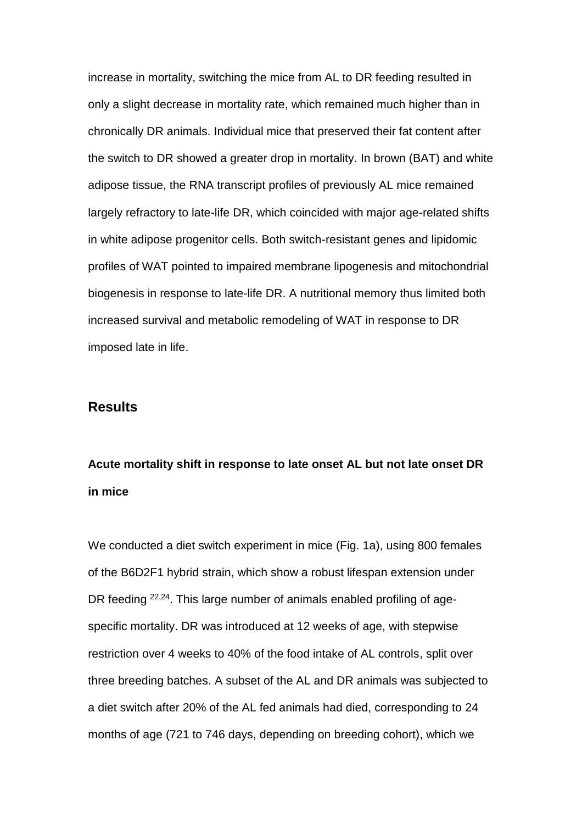increase in mortality, switching the mice from AL to DR feeding resulted in only a slight decrease in mortality rate, which remained much higher than in chronically DR animals. Individual mice that preserved their fat content after the switch to DR showed a greater drop in mortality. In brown (BAT) and white adipose tissue, the RNA transcript profiles of previously AL mice remained largely refractory to late-life DR, which coincided with major age-related shifts in white adipose progenitor cells. Both switch-resistant genes and lipidomic profiles of WAT pointed to impaired membrane lipogenesis and mitochondrial biogenesis in response to late-life DR. A nutritional memory thus limited both increased survival and metabolic remodeling of WAT in response to DR imposed late in life.

## **Results**

# **Acute mortality shift in response to late onset AL but not late onset DR in mice**

We conducted a diet switch experiment in mice (Fig. 1a), using 800 females of the B6D2F1 hybrid strain, which show a robust lifespan extension under DR feeding <sup>22,24</sup>. This large number of animals enabled profiling of agespecific mortality. DR was introduced at 12 weeks of age, with stepwise restriction over 4 weeks to 40% of the food intake of AL controls, split over three breeding batches. A subset of the AL and DR animals was subjected to a diet switch after 20% of the AL fed animals had died, corresponding to 24 months of age (721 to 746 days, depending on breeding cohort), which we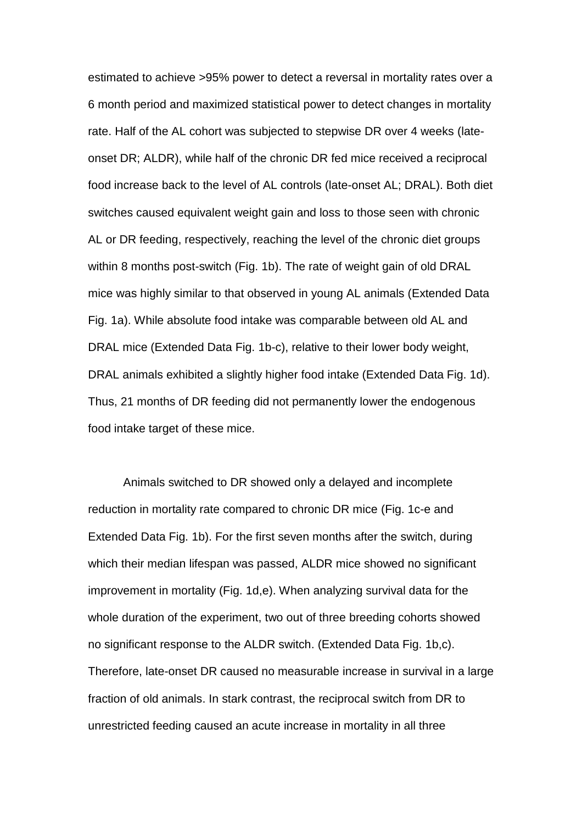estimated to achieve >95% power to detect a reversal in mortality rates over a 6 month period and maximized statistical power to detect changes in mortality rate. Half of the AL cohort was subjected to stepwise DR over 4 weeks (lateonset DR; ALDR), while half of the chronic DR fed mice received a reciprocal food increase back to the level of AL controls (late-onset AL; DRAL). Both diet switches caused equivalent weight gain and loss to those seen with chronic AL or DR feeding, respectively, reaching the level of the chronic diet groups within 8 months post-switch (Fig. 1b). The rate of weight gain of old DRAL mice was highly similar to that observed in young AL animals (Extended Data Fig. 1a). While absolute food intake was comparable between old AL and DRAL mice (Extended Data Fig. 1b-c), relative to their lower body weight, DRAL animals exhibited a slightly higher food intake (Extended Data Fig. 1d). Thus, 21 months of DR feeding did not permanently lower the endogenous food intake target of these mice.

Animals switched to DR showed only a delayed and incomplete reduction in mortality rate compared to chronic DR mice (Fig. 1c-e and Extended Data Fig. 1b). For the first seven months after the switch, during which their median lifespan was passed, ALDR mice showed no significant improvement in mortality (Fig. 1d,e). When analyzing survival data for the whole duration of the experiment, two out of three breeding cohorts showed no significant response to the ALDR switch. (Extended Data Fig. 1b,c). Therefore, late-onset DR caused no measurable increase in survival in a large fraction of old animals. In stark contrast, the reciprocal switch from DR to unrestricted feeding caused an acute increase in mortality in all three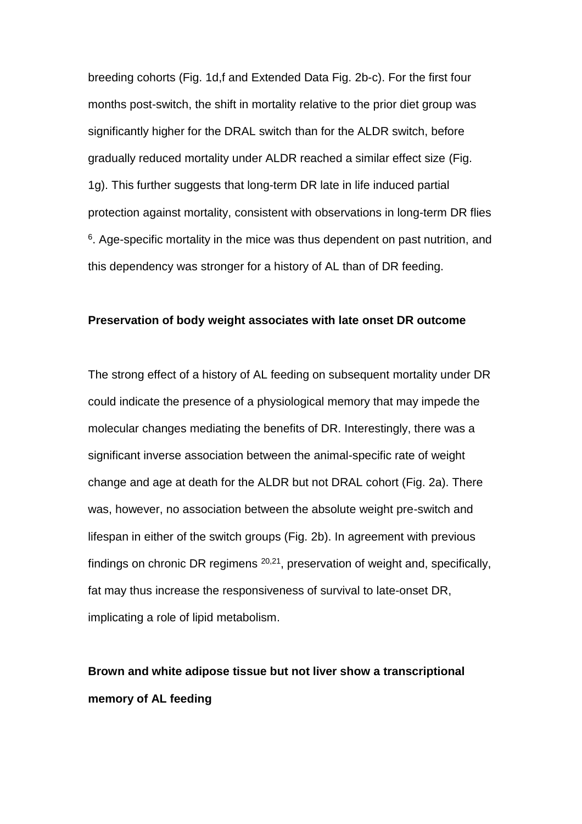breeding cohorts (Fig. 1d,f and Extended Data Fig. 2b-c). For the first four months post-switch, the shift in mortality relative to the prior diet group was significantly higher for the DRAL switch than for the ALDR switch, before gradually reduced mortality under ALDR reached a similar effect size (Fig. 1g). This further suggests that long-term DR late in life induced partial protection against mortality, consistent with observations in long-term DR flies  $6$ . Age-specific mortality in the mice was thus dependent on past nutrition, and this dependency was stronger for a history of AL than of DR feeding.

### **Preservation of body weight associates with late onset DR outcome**

The strong effect of a history of AL feeding on subsequent mortality under DR could indicate the presence of a physiological memory that may impede the molecular changes mediating the benefits of DR. Interestingly, there was a significant inverse association between the animal-specific rate of weight change and age at death for the ALDR but not DRAL cohort (Fig. 2a). There was, however, no association between the absolute weight pre-switch and lifespan in either of the switch groups (Fig. 2b). In agreement with previous findings on chronic DR regimens <sup>20,21</sup>, preservation of weight and, specifically, fat may thus increase the responsiveness of survival to late-onset DR, implicating a role of lipid metabolism.

# **Brown and white adipose tissue but not liver show a transcriptional memory of AL feeding**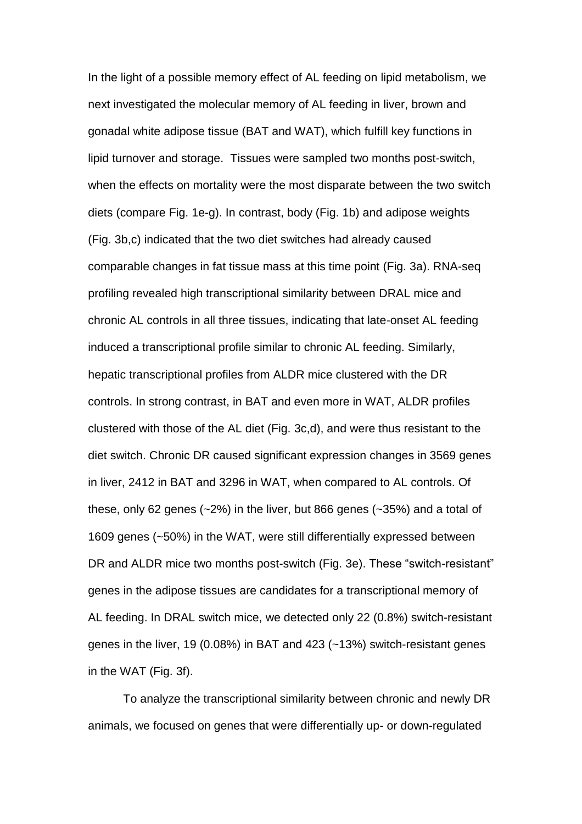In the light of a possible memory effect of AL feeding on lipid metabolism, we next investigated the molecular memory of AL feeding in liver, brown and gonadal white adipose tissue (BAT and WAT), which fulfill key functions in lipid turnover and storage. Tissues were sampled two months post-switch, when the effects on mortality were the most disparate between the two switch diets (compare Fig. 1e-g). In contrast, body (Fig. 1b) and adipose weights (Fig. 3b,c) indicated that the two diet switches had already caused comparable changes in fat tissue mass at this time point (Fig. 3a). RNA-seq profiling revealed high transcriptional similarity between DRAL mice and chronic AL controls in all three tissues, indicating that late-onset AL feeding induced a transcriptional profile similar to chronic AL feeding. Similarly, hepatic transcriptional profiles from ALDR mice clustered with the DR controls. In strong contrast, in BAT and even more in WAT, ALDR profiles clustered with those of the AL diet (Fig. 3c,d), and were thus resistant to the diet switch. Chronic DR caused significant expression changes in 3569 genes in liver, 2412 in BAT and 3296 in WAT, when compared to AL controls. Of these, only 62 genes  $(-2%)$  in the liver, but 866 genes  $(-35%)$  and a total of 1609 genes (~50%) in the WAT, were still differentially expressed between DR and ALDR mice two months post-switch (Fig. 3e). These "switch-resistant" genes in the adipose tissues are candidates for a transcriptional memory of AL feeding. In DRAL switch mice, we detected only 22 (0.8%) switch-resistant genes in the liver, 19 (0.08%) in BAT and 423 (~13%) switch-resistant genes in the WAT (Fig. 3f).

To analyze the transcriptional similarity between chronic and newly DR animals, we focused on genes that were differentially up- or down-regulated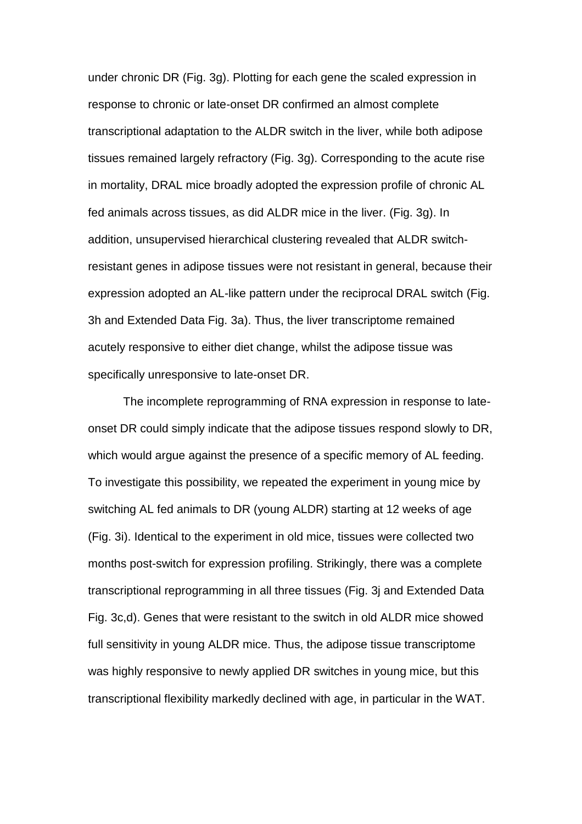under chronic DR (Fig. 3g). Plotting for each gene the scaled expression in response to chronic or late-onset DR confirmed an almost complete transcriptional adaptation to the ALDR switch in the liver, while both adipose tissues remained largely refractory (Fig. 3g). Corresponding to the acute rise in mortality, DRAL mice broadly adopted the expression profile of chronic AL fed animals across tissues, as did ALDR mice in the liver. (Fig. 3g). In addition, unsupervised hierarchical clustering revealed that ALDR switchresistant genes in adipose tissues were not resistant in general, because their expression adopted an AL-like pattern under the reciprocal DRAL switch (Fig. 3h and Extended Data Fig. 3a). Thus, the liver transcriptome remained acutely responsive to either diet change, whilst the adipose tissue was specifically unresponsive to late-onset DR.

The incomplete reprogramming of RNA expression in response to lateonset DR could simply indicate that the adipose tissues respond slowly to DR, which would argue against the presence of a specific memory of AL feeding. To investigate this possibility, we repeated the experiment in young mice by switching AL fed animals to DR (young ALDR) starting at 12 weeks of age (Fig. 3i). Identical to the experiment in old mice, tissues were collected two months post-switch for expression profiling. Strikingly, there was a complete transcriptional reprogramming in all three tissues (Fig. 3j and Extended Data Fig. 3c,d). Genes that were resistant to the switch in old ALDR mice showed full sensitivity in young ALDR mice. Thus, the adipose tissue transcriptome was highly responsive to newly applied DR switches in young mice, but this transcriptional flexibility markedly declined with age, in particular in the WAT.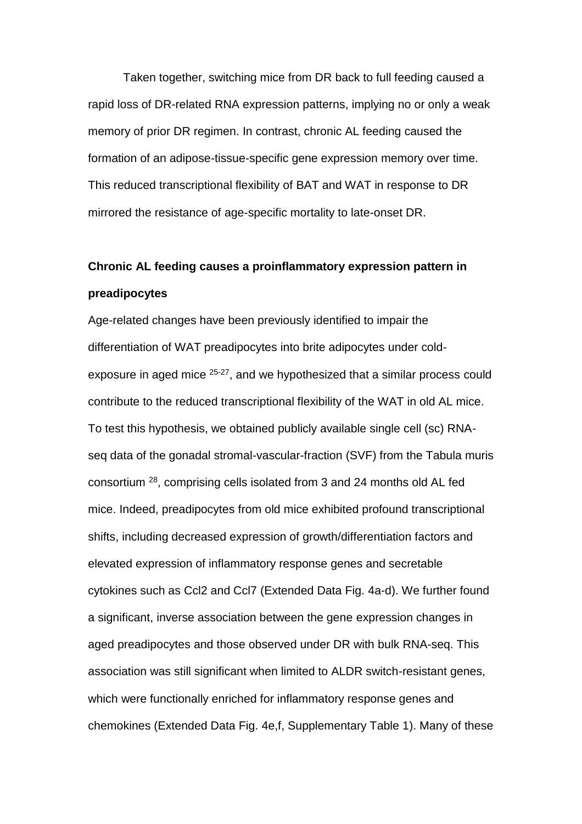Taken together, switching mice from DR back to full feeding caused a rapid loss of DR-related RNA expression patterns, implying no or only a weak memory of prior DR regimen. In contrast, chronic AL feeding caused the formation of an adipose-tissue-specific gene expression memory over time. This reduced transcriptional flexibility of BAT and WAT in response to DR mirrored the resistance of age-specific mortality to late-onset DR.

# **Chronic AL feeding causes a proinflammatory expression pattern in preadipocytes**

Age-related changes have been previously identified to impair the differentiation of WAT preadipocytes into brite adipocytes under coldexposure in aged mice 25-27, and we hypothesized that a similar process could contribute to the reduced transcriptional flexibility of the WAT in old AL mice. To test this hypothesis, we obtained publicly available single cell (sc) RNAseq data of the gonadal stromal-vascular-fraction (SVF) from the Tabula muris consortium <sup>28</sup>, comprising cells isolated from 3 and 24 months old AL fed mice. Indeed, preadipocytes from old mice exhibited profound transcriptional shifts, including decreased expression of growth/differentiation factors and elevated expression of inflammatory response genes and secretable cytokines such as Ccl2 and Ccl7 (Extended Data Fig. 4a-d). We further found a significant, inverse association between the gene expression changes in aged preadipocytes and those observed under DR with bulk RNA-seq. This association was still significant when limited to ALDR switch-resistant genes, which were functionally enriched for inflammatory response genes and chemokines (Extended Data Fig. 4e,f, Supplementary Table 1). Many of these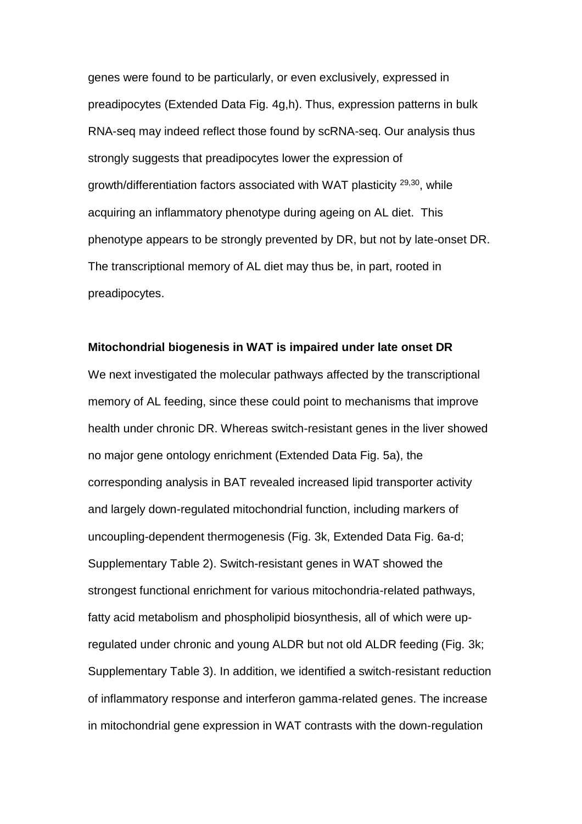genes were found to be particularly, or even exclusively, expressed in preadipocytes (Extended Data Fig. 4g,h). Thus, expression patterns in bulk RNA-seq may indeed reflect those found by scRNA-seq. Our analysis thus strongly suggests that preadipocytes lower the expression of growth/differentiation factors associated with WAT plasticity 29,30, while acquiring an inflammatory phenotype during ageing on AL diet. This phenotype appears to be strongly prevented by DR, but not by late-onset DR. The transcriptional memory of AL diet may thus be, in part, rooted in preadipocytes.

### **Mitochondrial biogenesis in WAT is impaired under late onset DR**

We next investigated the molecular pathways affected by the transcriptional memory of AL feeding, since these could point to mechanisms that improve health under chronic DR. Whereas switch-resistant genes in the liver showed no major gene ontology enrichment (Extended Data Fig. 5a), the corresponding analysis in BAT revealed increased lipid transporter activity and largely down-regulated mitochondrial function, including markers of uncoupling-dependent thermogenesis (Fig. 3k, Extended Data Fig. 6a-d; Supplementary Table 2). Switch-resistant genes in WAT showed the strongest functional enrichment for various mitochondria-related pathways, fatty acid metabolism and phospholipid biosynthesis, all of which were upregulated under chronic and young ALDR but not old ALDR feeding (Fig. 3k; Supplementary Table 3). In addition, we identified a switch-resistant reduction of inflammatory response and interferon gamma-related genes. The increase in mitochondrial gene expression in WAT contrasts with the down-regulation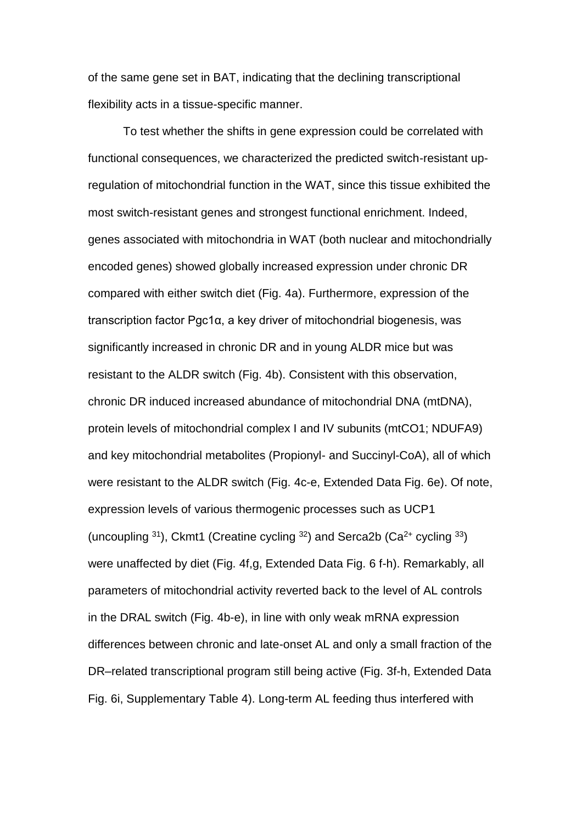of the same gene set in BAT, indicating that the declining transcriptional flexibility acts in a tissue-specific manner.

To test whether the shifts in gene expression could be correlated with functional consequences, we characterized the predicted switch-resistant upregulation of mitochondrial function in the WAT, since this tissue exhibited the most switch-resistant genes and strongest functional enrichment. Indeed, genes associated with mitochondria in WAT (both nuclear and mitochondrially encoded genes) showed globally increased expression under chronic DR compared with either switch diet (Fig. 4a). Furthermore, expression of the transcription factor Pgc1α, a key driver of mitochondrial biogenesis, was significantly increased in chronic DR and in young ALDR mice but was resistant to the ALDR switch (Fig. 4b). Consistent with this observation, chronic DR induced increased abundance of mitochondrial DNA (mtDNA), protein levels of mitochondrial complex I and IV subunits (mtCO1; NDUFA9) and key mitochondrial metabolites (Propionyl- and Succinyl-CoA), all of which were resistant to the ALDR switch (Fig. 4c-e, Extended Data Fig. 6e). Of note, expression levels of various thermogenic processes such as UCP1 (uncoupling  $31$ ), Ckmt1 (Creatine cycling  $32$ ) and Serca2b (Ca<sup>2+</sup> cycling  $33$ ) were unaffected by diet (Fig. 4f,g, Extended Data Fig. 6 f-h). Remarkably, all parameters of mitochondrial activity reverted back to the level of AL controls in the DRAL switch (Fig. 4b-e), in line with only weak mRNA expression differences between chronic and late-onset AL and only a small fraction of the DR–related transcriptional program still being active (Fig. 3f-h, Extended Data Fig. 6i, Supplementary Table 4). Long-term AL feeding thus interfered with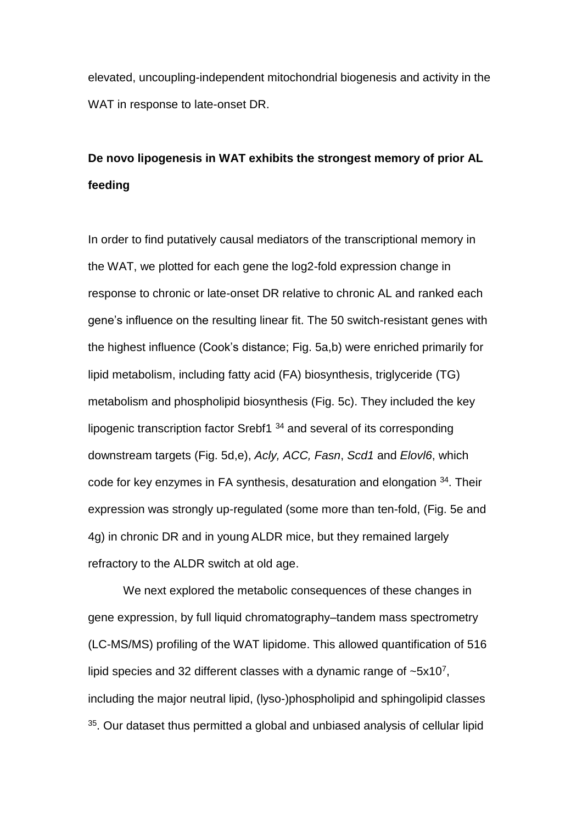elevated, uncoupling-independent mitochondrial biogenesis and activity in the WAT in response to late-onset DR.

# **De novo lipogenesis in WAT exhibits the strongest memory of prior AL feeding**

In order to find putatively causal mediators of the transcriptional memory in the WAT, we plotted for each gene the log2-fold expression change in response to chronic or late-onset DR relative to chronic AL and ranked each gene's influence on the resulting linear fit. The 50 switch-resistant genes with the highest influence (Cook's distance; Fig. 5a,b) were enriched primarily for lipid metabolism, including fatty acid (FA) biosynthesis, triglyceride (TG) metabolism and phospholipid biosynthesis (Fig. 5c). They included the key lipogenic transcription factor Srebf1 <sup>34</sup> and several of its corresponding downstream targets (Fig. 5d,e), *Acly, ACC, Fasn*, *Scd1* and *Elovl6*, which code for key enzymes in FA synthesis, desaturation and elongation <sup>34</sup>. Their expression was strongly up-regulated (some more than ten-fold, (Fig. 5e and 4g) in chronic DR and in young ALDR mice, but they remained largely refractory to the ALDR switch at old age.

We next explored the metabolic consequences of these changes in gene expression, by full liquid chromatography–tandem mass spectrometry (LC-MS/MS) profiling of the WAT lipidome. This allowed quantification of 516 lipid species and 32 different classes with a dynamic range of  $\sim$ 5x10<sup>7</sup>, including the major neutral lipid, (lyso-)phospholipid and sphingolipid classes  $35$ . Our dataset thus permitted a global and unbiased analysis of cellular lipid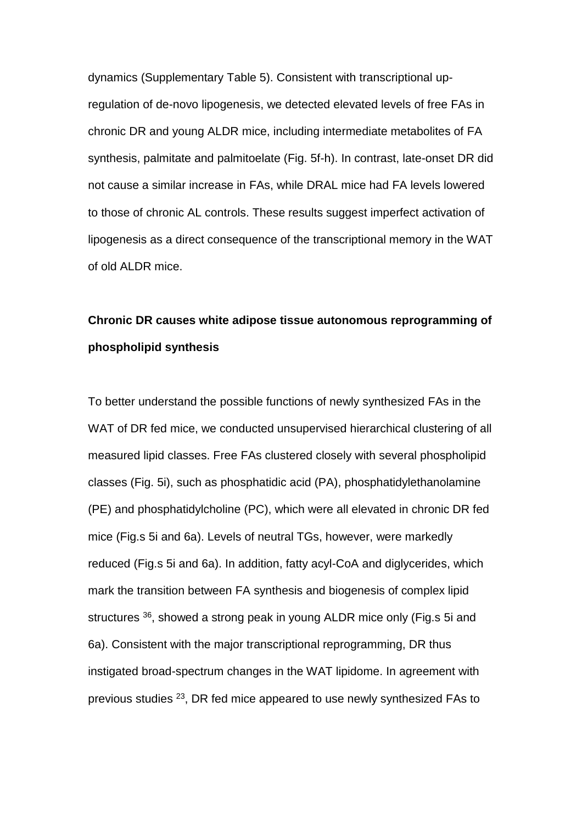dynamics (Supplementary Table 5). Consistent with transcriptional upregulation of de-novo lipogenesis, we detected elevated levels of free FAs in chronic DR and young ALDR mice, including intermediate metabolites of FA synthesis, palmitate and palmitoelate (Fig. 5f-h). In contrast, late-onset DR did not cause a similar increase in FAs, while DRAL mice had FA levels lowered to those of chronic AL controls. These results suggest imperfect activation of lipogenesis as a direct consequence of the transcriptional memory in the WAT of old ALDR mice.

# **Chronic DR causes white adipose tissue autonomous reprogramming of phospholipid synthesis**

To better understand the possible functions of newly synthesized FAs in the WAT of DR fed mice, we conducted unsupervised hierarchical clustering of all measured lipid classes. Free FAs clustered closely with several phospholipid classes (Fig. 5i), such as phosphatidic acid (PA), phosphatidylethanolamine (PE) and phosphatidylcholine (PC), which were all elevated in chronic DR fed mice (Fig.s 5i and 6a). Levels of neutral TGs, however, were markedly reduced (Fig.s 5i and 6a). In addition, fatty acyl-CoA and diglycerides, which mark the transition between FA synthesis and biogenesis of complex lipid structures <sup>36</sup>, showed a strong peak in young ALDR mice only (Fig.s 5i and 6a). Consistent with the major transcriptional reprogramming, DR thus instigated broad-spectrum changes in the WAT lipidome. In agreement with previous studies <sup>23</sup>, DR fed mice appeared to use newly synthesized FAs to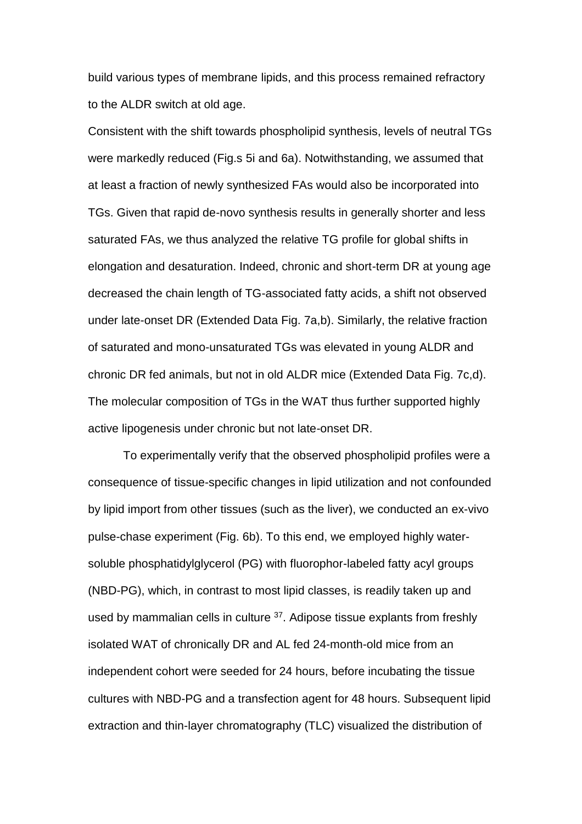build various types of membrane lipids, and this process remained refractory to the ALDR switch at old age.

Consistent with the shift towards phospholipid synthesis, levels of neutral TGs were markedly reduced (Fig.s 5i and 6a). Notwithstanding, we assumed that at least a fraction of newly synthesized FAs would also be incorporated into TGs. Given that rapid de-novo synthesis results in generally shorter and less saturated FAs, we thus analyzed the relative TG profile for global shifts in elongation and desaturation. Indeed, chronic and short-term DR at young age decreased the chain length of TG-associated fatty acids, a shift not observed under late-onset DR (Extended Data Fig. 7a,b). Similarly, the relative fraction of saturated and mono-unsaturated TGs was elevated in young ALDR and chronic DR fed animals, but not in old ALDR mice (Extended Data Fig. 7c,d). The molecular composition of TGs in the WAT thus further supported highly active lipogenesis under chronic but not late-onset DR.

To experimentally verify that the observed phospholipid profiles were a consequence of tissue-specific changes in lipid utilization and not confounded by lipid import from other tissues (such as the liver), we conducted an ex-vivo pulse-chase experiment (Fig. 6b). To this end, we employed highly watersoluble phosphatidylglycerol (PG) with fluorophor-labeled fatty acyl groups (NBD-PG), which, in contrast to most lipid classes, is readily taken up and used by mammalian cells in culture <sup>37</sup>. Adipose tissue explants from freshly isolated WAT of chronically DR and AL fed 24-month-old mice from an independent cohort were seeded for 24 hours, before incubating the tissue cultures with NBD-PG and a transfection agent for 48 hours. Subsequent lipid extraction and thin-layer chromatography (TLC) visualized the distribution of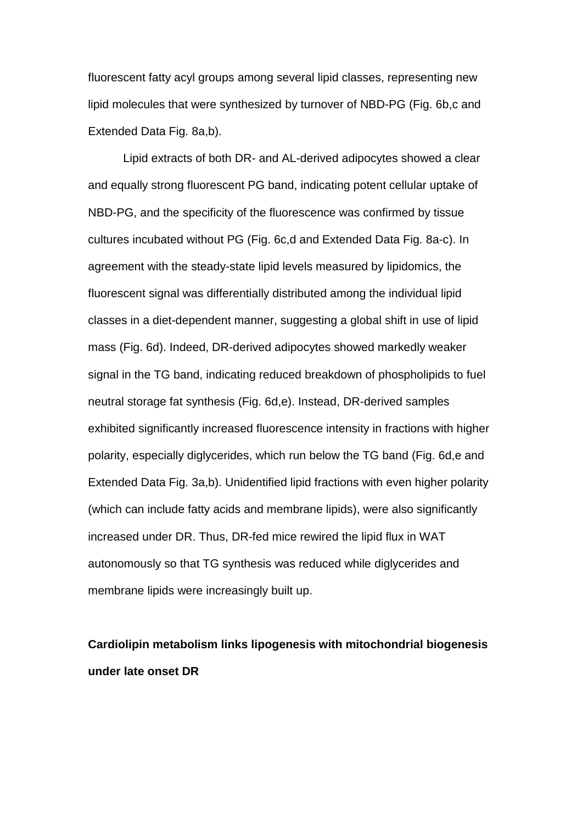fluorescent fatty acyl groups among several lipid classes, representing new lipid molecules that were synthesized by turnover of NBD-PG (Fig. 6b,c and Extended Data Fig. 8a,b).

Lipid extracts of both DR- and AL-derived adipocytes showed a clear and equally strong fluorescent PG band, indicating potent cellular uptake of NBD-PG, and the specificity of the fluorescence was confirmed by tissue cultures incubated without PG (Fig. 6c,d and Extended Data Fig. 8a-c). In agreement with the steady-state lipid levels measured by lipidomics, the fluorescent signal was differentially distributed among the individual lipid classes in a diet-dependent manner, suggesting a global shift in use of lipid mass (Fig. 6d). Indeed, DR-derived adipocytes showed markedly weaker signal in the TG band, indicating reduced breakdown of phospholipids to fuel neutral storage fat synthesis (Fig. 6d,e). Instead, DR-derived samples exhibited significantly increased fluorescence intensity in fractions with higher polarity, especially diglycerides, which run below the TG band (Fig. 6d,e and Extended Data Fig. 3a,b). Unidentified lipid fractions with even higher polarity (which can include fatty acids and membrane lipids), were also significantly increased under DR. Thus, DR-fed mice rewired the lipid flux in WAT autonomously so that TG synthesis was reduced while diglycerides and membrane lipids were increasingly built up.

**Cardiolipin metabolism links lipogenesis with mitochondrial biogenesis under late onset DR**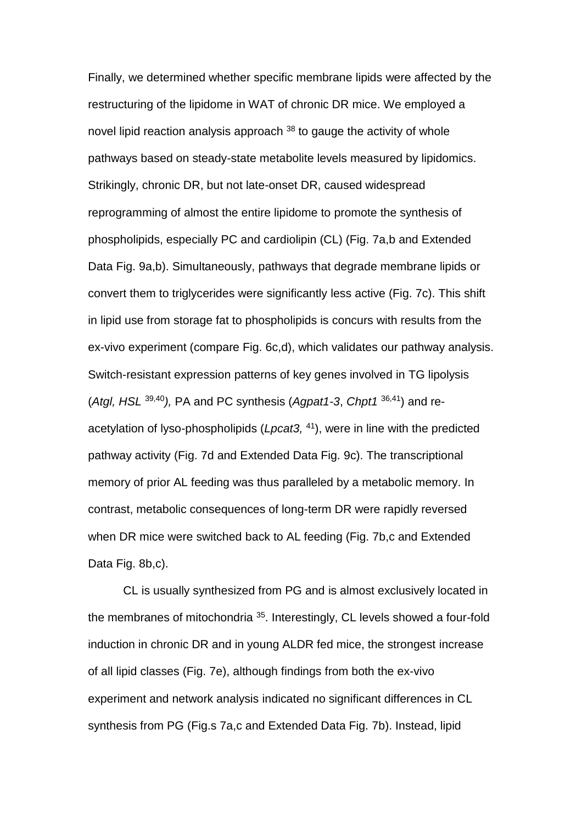Finally, we determined whether specific membrane lipids were affected by the restructuring of the lipidome in WAT of chronic DR mice. We employed a novel lipid reaction analysis approach  $38$  to gauge the activity of whole pathways based on steady-state metabolite levels measured by lipidomics. Strikingly, chronic DR, but not late-onset DR, caused widespread reprogramming of almost the entire lipidome to promote the synthesis of phospholipids, especially PC and cardiolipin (CL) (Fig. 7a,b and Extended Data Fig. 9a,b). Simultaneously, pathways that degrade membrane lipids or convert them to triglycerides were significantly less active (Fig. 7c). This shift in lipid use from storage fat to phospholipids is concurs with results from the ex-vivo experiment (compare Fig. 6c,d), which validates our pathway analysis. Switch-resistant expression patterns of key genes involved in TG lipolysis (*Atgl, HSL* 39,40*),* PA and PC synthesis (*Agpat1-3*, *Chpt1* 36,41) and reacetylation of lyso-phospholipids (*Lpcat3,*  <sup>41</sup>), were in line with the predicted pathway activity (Fig. 7d and Extended Data Fig. 9c). The transcriptional memory of prior AL feeding was thus paralleled by a metabolic memory. In contrast, metabolic consequences of long-term DR were rapidly reversed when DR mice were switched back to AL feeding (Fig. 7b,c and Extended Data Fig. 8b,c).

CL is usually synthesized from PG and is almost exclusively located in the membranes of mitochondria <sup>35</sup>. Interestingly, CL levels showed a four-fold induction in chronic DR and in young ALDR fed mice, the strongest increase of all lipid classes (Fig. 7e), although findings from both the ex-vivo experiment and network analysis indicated no significant differences in CL synthesis from PG (Fig.s 7a,c and Extended Data Fig. 7b). Instead, lipid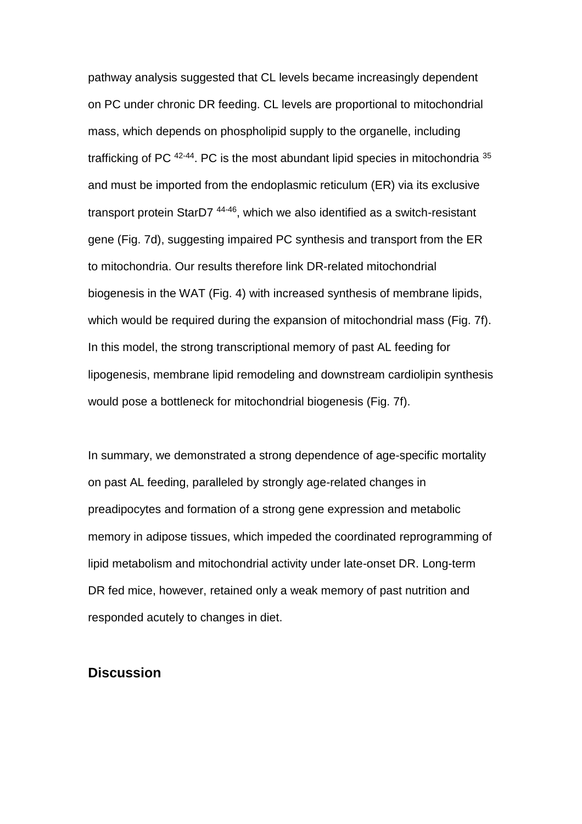pathway analysis suggested that CL levels became increasingly dependent on PC under chronic DR feeding. CL levels are proportional to mitochondrial mass, which depends on phospholipid supply to the organelle, including trafficking of PC <sup>42-44</sup>. PC is the most abundant lipid species in mitochondria <sup>35</sup> and must be imported from the endoplasmic reticulum (ER) via its exclusive transport protein StarD7 44-46, which we also identified as a switch-resistant gene (Fig. 7d), suggesting impaired PC synthesis and transport from the ER to mitochondria. Our results therefore link DR-related mitochondrial biogenesis in the WAT (Fig. 4) with increased synthesis of membrane lipids, which would be required during the expansion of mitochondrial mass (Fig. 7f). In this model, the strong transcriptional memory of past AL feeding for lipogenesis, membrane lipid remodeling and downstream cardiolipin synthesis would pose a bottleneck for mitochondrial biogenesis (Fig. 7f).

In summary, we demonstrated a strong dependence of age-specific mortality on past AL feeding, paralleled by strongly age-related changes in preadipocytes and formation of a strong gene expression and metabolic memory in adipose tissues, which impeded the coordinated reprogramming of lipid metabolism and mitochondrial activity under late-onset DR. Long-term DR fed mice, however, retained only a weak memory of past nutrition and responded acutely to changes in diet.

## **Discussion**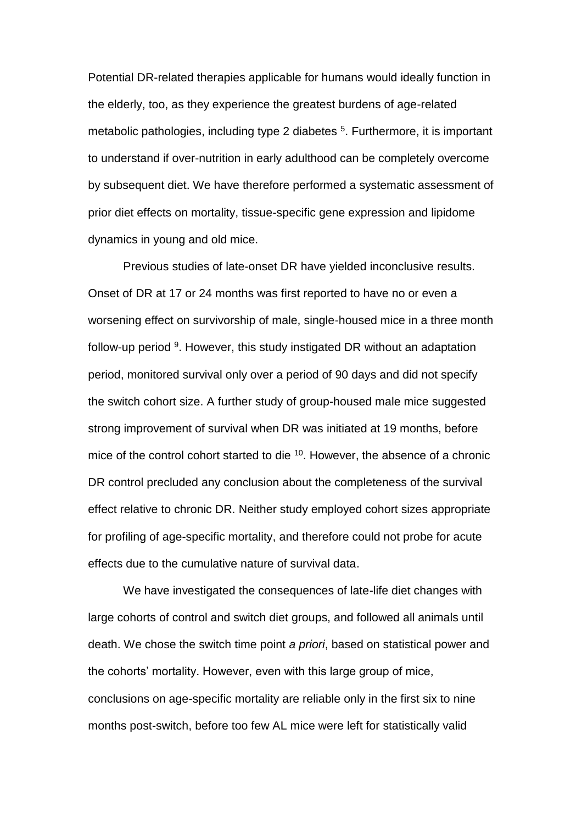Potential DR-related therapies applicable for humans would ideally function in the elderly, too, as they experience the greatest burdens of age-related metabolic pathologies, including type 2 diabetes <sup>5</sup>. Furthermore, it is important to understand if over-nutrition in early adulthood can be completely overcome by subsequent diet. We have therefore performed a systematic assessment of prior diet effects on mortality, tissue-specific gene expression and lipidome dynamics in young and old mice.

Previous studies of late-onset DR have yielded inconclusive results. Onset of DR at 17 or 24 months was first reported to have no or even a worsening effect on survivorship of male, single-housed mice in a three month follow-up period <sup>9</sup>. However, this study instigated DR without an adaptation period, monitored survival only over a period of 90 days and did not specify the switch cohort size. A further study of group-housed male mice suggested strong improvement of survival when DR was initiated at 19 months, before mice of the control cohort started to die  $10$ . However, the absence of a chronic DR control precluded any conclusion about the completeness of the survival effect relative to chronic DR. Neither study employed cohort sizes appropriate for profiling of age-specific mortality, and therefore could not probe for acute effects due to the cumulative nature of survival data.

We have investigated the consequences of late-life diet changes with large cohorts of control and switch diet groups, and followed all animals until death. We chose the switch time point *a priori*, based on statistical power and the cohorts' mortality. However, even with this large group of mice, conclusions on age-specific mortality are reliable only in the first six to nine months post-switch, before too few AL mice were left for statistically valid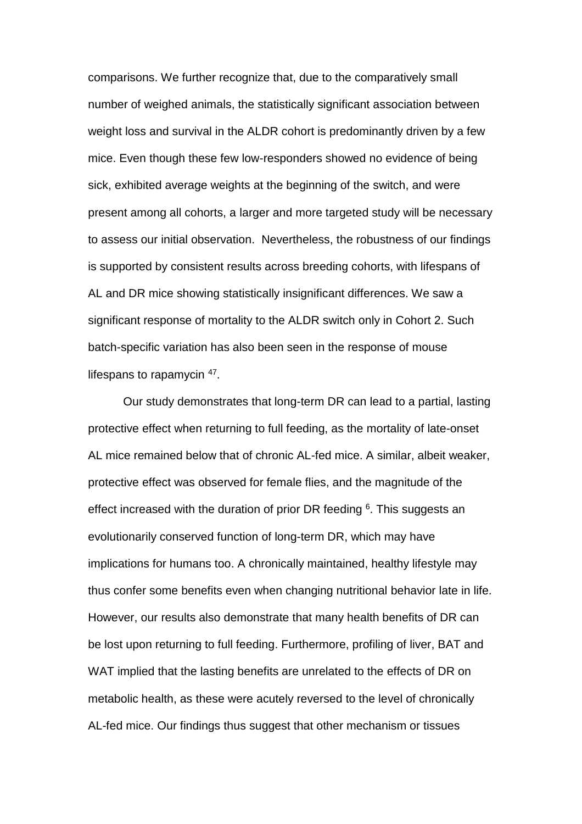comparisons. We further recognize that, due to the comparatively small number of weighed animals, the statistically significant association between weight loss and survival in the ALDR cohort is predominantly driven by a few mice. Even though these few low-responders showed no evidence of being sick, exhibited average weights at the beginning of the switch, and were present among all cohorts, a larger and more targeted study will be necessary to assess our initial observation. Nevertheless, the robustness of our findings is supported by consistent results across breeding cohorts, with lifespans of AL and DR mice showing statistically insignificant differences. We saw a significant response of mortality to the ALDR switch only in Cohort 2. Such batch-specific variation has also been seen in the response of mouse lifespans to rapamycin <sup>47</sup>.

Our study demonstrates that long-term DR can lead to a partial, lasting protective effect when returning to full feeding, as the mortality of late-onset AL mice remained below that of chronic AL-fed mice. A similar, albeit weaker, protective effect was observed for female flies, and the magnitude of the effect increased with the duration of prior DR feeding  $6$ . This suggests an evolutionarily conserved function of long-term DR, which may have implications for humans too. A chronically maintained, healthy lifestyle may thus confer some benefits even when changing nutritional behavior late in life. However, our results also demonstrate that many health benefits of DR can be lost upon returning to full feeding. Furthermore, profiling of liver, BAT and WAT implied that the lasting benefits are unrelated to the effects of DR on metabolic health, as these were acutely reversed to the level of chronically AL-fed mice. Our findings thus suggest that other mechanism or tissues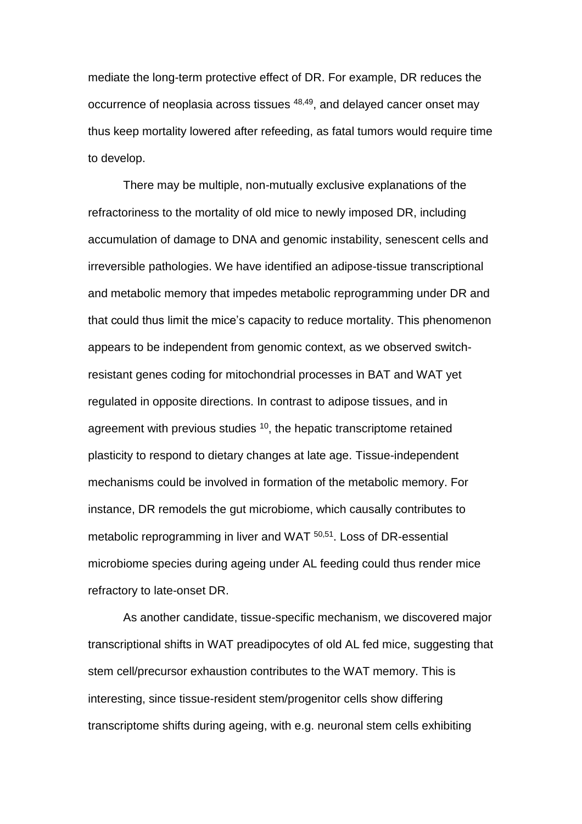mediate the long-term protective effect of DR. For example, DR reduces the occurrence of neoplasia across tissues <sup>48,49</sup>, and delayed cancer onset may thus keep mortality lowered after refeeding, as fatal tumors would require time to develop.

There may be multiple, non-mutually exclusive explanations of the refractoriness to the mortality of old mice to newly imposed DR, including accumulation of damage to DNA and genomic instability, senescent cells and irreversible pathologies. We have identified an adipose-tissue transcriptional and metabolic memory that impedes metabolic reprogramming under DR and that could thus limit the mice's capacity to reduce mortality. This phenomenon appears to be independent from genomic context, as we observed switchresistant genes coding for mitochondrial processes in BAT and WAT yet regulated in opposite directions. In contrast to adipose tissues, and in agreement with previous studies <sup>10</sup>, the hepatic transcriptome retained plasticity to respond to dietary changes at late age. Tissue-independent mechanisms could be involved in formation of the metabolic memory. For instance, DR remodels the gut microbiome, which causally contributes to metabolic reprogramming in liver and WAT 50,51. Loss of DR-essential microbiome species during ageing under AL feeding could thus render mice refractory to late-onset DR.

As another candidate, tissue-specific mechanism, we discovered major transcriptional shifts in WAT preadipocytes of old AL fed mice, suggesting that stem cell/precursor exhaustion contributes to the WAT memory. This is interesting, since tissue-resident stem/progenitor cells show differing transcriptome shifts during ageing, with e.g. neuronal stem cells exhibiting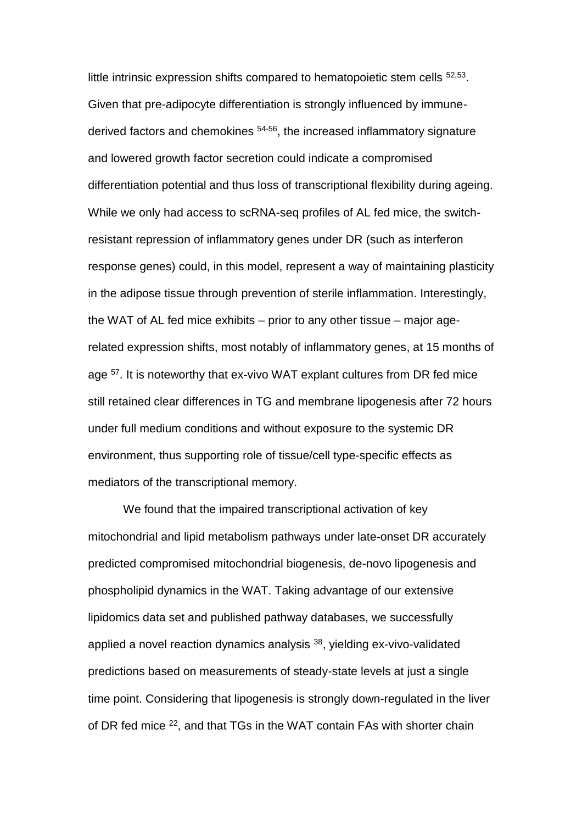little intrinsic expression shifts compared to hematopoietic stem cells <sup>52,53</sup>. Given that pre-adipocyte differentiation is strongly influenced by immunederived factors and chemokines 54-56, the increased inflammatory signature and lowered growth factor secretion could indicate a compromised differentiation potential and thus loss of transcriptional flexibility during ageing. While we only had access to scRNA-seq profiles of AL fed mice, the switchresistant repression of inflammatory genes under DR (such as interferon response genes) could, in this model, represent a way of maintaining plasticity in the adipose tissue through prevention of sterile inflammation. Interestingly, the WAT of AL fed mice exhibits – prior to any other tissue – major agerelated expression shifts, most notably of inflammatory genes, at 15 months of age <sup>57</sup>. It is noteworthy that ex-vivo WAT explant cultures from DR fed mice still retained clear differences in TG and membrane lipogenesis after 72 hours under full medium conditions and without exposure to the systemic DR environment, thus supporting role of tissue/cell type-specific effects as mediators of the transcriptional memory.

We found that the impaired transcriptional activation of key mitochondrial and lipid metabolism pathways under late-onset DR accurately predicted compromised mitochondrial biogenesis, de-novo lipogenesis and phospholipid dynamics in the WAT. Taking advantage of our extensive lipidomics data set and published pathway databases, we successfully applied a novel reaction dynamics analysis  $38$ , yielding ex-vivo-validated predictions based on measurements of steady-state levels at just a single time point. Considering that lipogenesis is strongly down-regulated in the liver of DR fed mice <sup>22</sup>, and that TGs in the WAT contain FAs with shorter chain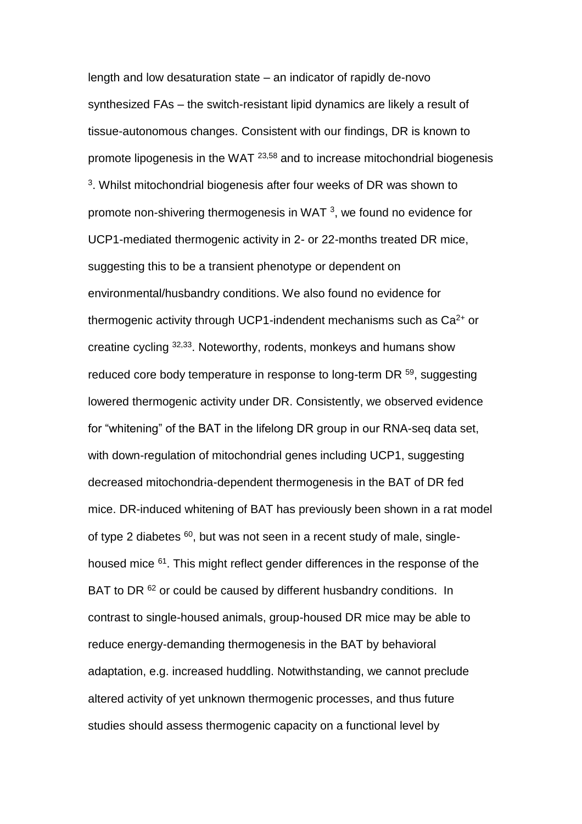length and low desaturation state – an indicator of rapidly de-novo synthesized FAs – the switch-resistant lipid dynamics are likely a result of tissue-autonomous changes. Consistent with our findings, DR is known to promote lipogenesis in the WAT 23,58 and to increase mitochondrial biogenesis 3 . Whilst mitochondrial biogenesis after four weeks of DR was shown to promote non-shivering thermogenesis in WAT  $^3$ , we found no evidence for UCP1-mediated thermogenic activity in 2- or 22-months treated DR mice, suggesting this to be a transient phenotype or dependent on environmental/husbandry conditions. We also found no evidence for thermogenic activity through UCP1-indendent mechanisms such as  $Ca<sup>2+</sup>$  or creatine cycling 32,33. Noteworthy, rodents, monkeys and humans show reduced core body temperature in response to long-term DR <sup>59</sup>, suggesting lowered thermogenic activity under DR. Consistently, we observed evidence for "whitening" of the BAT in the lifelong DR group in our RNA-seq data set, with down-regulation of mitochondrial genes including UCP1, suggesting decreased mitochondria-dependent thermogenesis in the BAT of DR fed mice. DR-induced whitening of BAT has previously been shown in a rat model of type 2 diabetes  $60$ , but was not seen in a recent study of male, singlehoused mice <sup>61</sup>. This might reflect gender differences in the response of the BAT to DR <sup>62</sup> or could be caused by different husbandry conditions. In contrast to single-housed animals, group-housed DR mice may be able to reduce energy-demanding thermogenesis in the BAT by behavioral adaptation, e.g. increased huddling. Notwithstanding, we cannot preclude altered activity of yet unknown thermogenic processes, and thus future studies should assess thermogenic capacity on a functional level by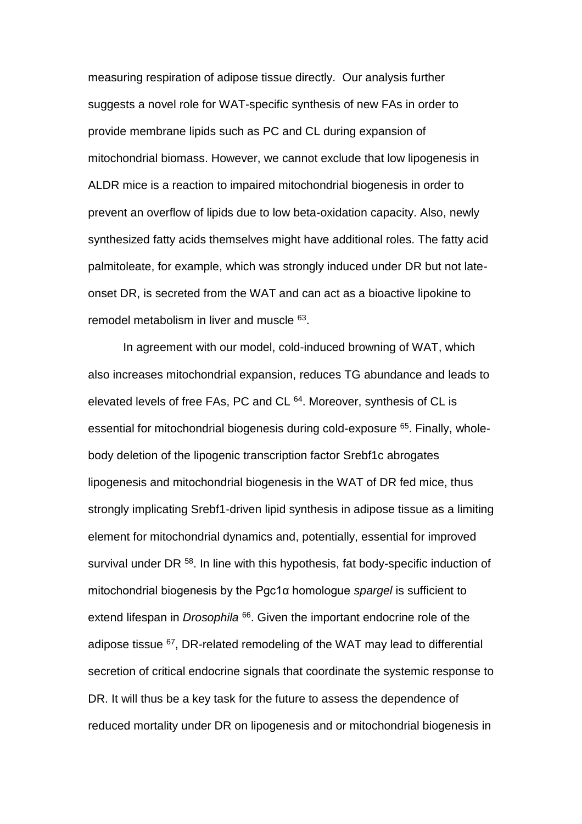measuring respiration of adipose tissue directly. Our analysis further suggests a novel role for WAT-specific synthesis of new FAs in order to provide membrane lipids such as PC and CL during expansion of mitochondrial biomass. However, we cannot exclude that low lipogenesis in ALDR mice is a reaction to impaired mitochondrial biogenesis in order to prevent an overflow of lipids due to low beta-oxidation capacity. Also, newly synthesized fatty acids themselves might have additional roles. The fatty acid palmitoleate, for example, which was strongly induced under DR but not lateonset DR, is secreted from the WAT and can act as a bioactive lipokine to remodel metabolism in liver and muscle <sup>63</sup>.

In agreement with our model, cold-induced browning of WAT, which also increases mitochondrial expansion, reduces TG abundance and leads to elevated levels of free FAs, PC and CL <sup>64</sup>. Moreover, synthesis of CL is essential for mitochondrial biogenesis during cold-exposure <sup>65</sup>. Finally, wholebody deletion of the lipogenic transcription factor Srebf1c abrogates lipogenesis and mitochondrial biogenesis in the WAT of DR fed mice, thus strongly implicating Srebf1-driven lipid synthesis in adipose tissue as a limiting element for mitochondrial dynamics and, potentially, essential for improved survival under DR<sup>58</sup>. In line with this hypothesis, fat body-specific induction of mitochondrial biogenesis by the Pgc1α homologue *spargel* is sufficient to extend lifespan in *Drosophila* <sup>66</sup>. Given the important endocrine role of the adipose tissue  $67$ , DR-related remodeling of the WAT may lead to differential secretion of critical endocrine signals that coordinate the systemic response to DR. It will thus be a key task for the future to assess the dependence of reduced mortality under DR on lipogenesis and or mitochondrial biogenesis in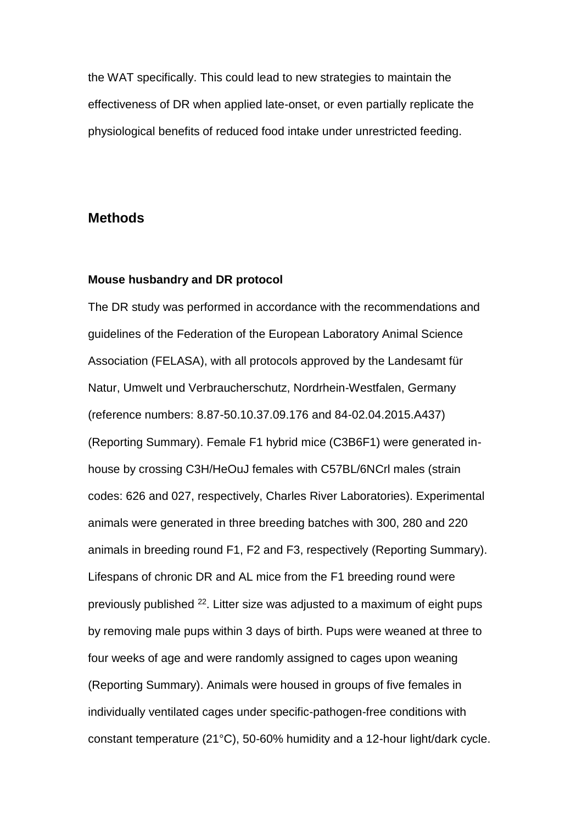the WAT specifically. This could lead to new strategies to maintain the effectiveness of DR when applied late-onset, or even partially replicate the physiological benefits of reduced food intake under unrestricted feeding.

## **Methods**

#### **Mouse husbandry and DR protocol**

The DR study was performed in accordance with the recommendations and guidelines of the Federation of the European Laboratory Animal Science Association (FELASA), with all protocols approved by the Landesamt für Natur, Umwelt und Verbraucherschutz, Nordrhein-Westfalen, Germany (reference numbers: 8.87-50.10.37.09.176 and 84-02.04.2015.A437) (Reporting Summary). Female F1 hybrid mice (C3B6F1) were generated inhouse by crossing C3H/HeOuJ females with C57BL/6NCrl males (strain codes: 626 and 027, respectively, Charles River Laboratories). Experimental animals were generated in three breeding batches with 300, 280 and 220 animals in breeding round F1, F2 and F3, respectively (Reporting Summary). Lifespans of chronic DR and AL mice from the F1 breeding round were previously published <sup>22</sup>. Litter size was adjusted to a maximum of eight pups by removing male pups within 3 days of birth. Pups were weaned at three to four weeks of age and were randomly assigned to cages upon weaning (Reporting Summary). Animals were housed in groups of five females in individually ventilated cages under specific-pathogen-free conditions with constant temperature (21°C), 50-60% humidity and a 12-hour light/dark cycle.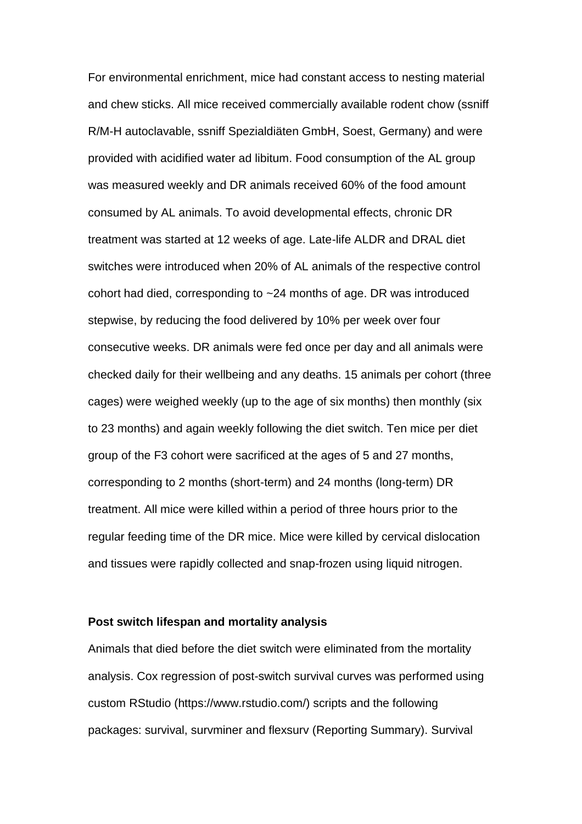For environmental enrichment, mice had constant access to nesting material and chew sticks. All mice received commercially available rodent chow (ssniff R/M-H autoclavable, ssniff Spezialdiäten GmbH, Soest, Germany) and were provided with acidified water ad libitum. Food consumption of the AL group was measured weekly and DR animals received 60% of the food amount consumed by AL animals. To avoid developmental effects, chronic DR treatment was started at 12 weeks of age. Late-life ALDR and DRAL diet switches were introduced when 20% of AL animals of the respective control cohort had died, corresponding to ~24 months of age. DR was introduced stepwise, by reducing the food delivered by 10% per week over four consecutive weeks. DR animals were fed once per day and all animals were checked daily for their wellbeing and any deaths. 15 animals per cohort (three cages) were weighed weekly (up to the age of six months) then monthly (six to 23 months) and again weekly following the diet switch. Ten mice per diet group of the F3 cohort were sacrificed at the ages of 5 and 27 months, corresponding to 2 months (short-term) and 24 months (long-term) DR treatment. All mice were killed within a period of three hours prior to the regular feeding time of the DR mice. Mice were killed by cervical dislocation and tissues were rapidly collected and snap-frozen using liquid nitrogen.

### **Post switch lifespan and mortality analysis**

Animals that died before the diet switch were eliminated from the mortality analysis. Cox regression of post-switch survival curves was performed using custom RStudio (https://www.rstudio.com/) scripts and the following packages: survival, survminer and flexsurv (Reporting Summary). Survival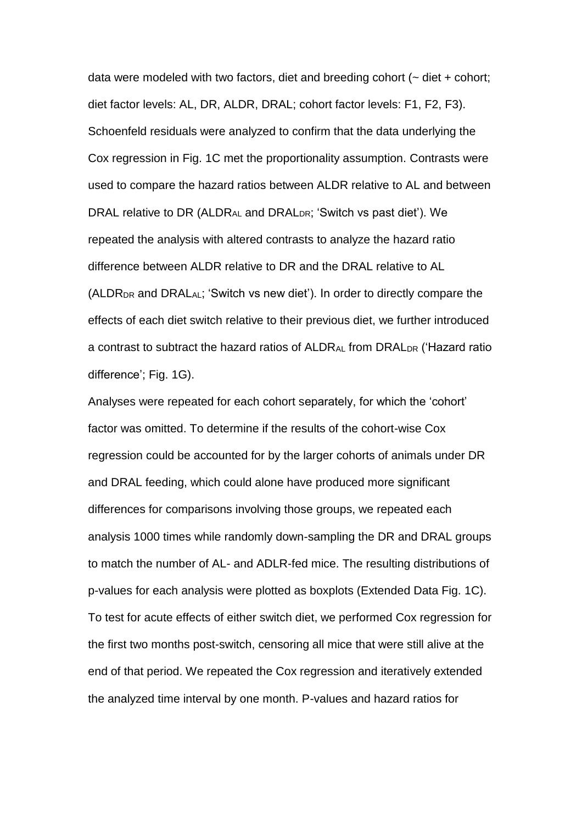data were modeled with two factors, diet and breeding cohort  $($   $\sim$  diet  $+$  cohort; diet factor levels: AL, DR, ALDR, DRAL; cohort factor levels: F1, F2, F3). Schoenfeld residuals were analyzed to confirm that the data underlying the Cox regression in Fig. 1C met the proportionality assumption. Contrasts were used to compare the hazard ratios between ALDR relative to AL and between DRAL relative to DR (ALDRAL and DRALDR; 'Switch vs past diet'). We repeated the analysis with altered contrasts to analyze the hazard ratio difference between ALDR relative to DR and the DRAL relative to AL (ALDRDR and DRALAL; 'Switch vs new diet'). In order to directly compare the effects of each diet switch relative to their previous diet, we further introduced a contrast to subtract the hazard ratios of ALDRAL from DRAL<sub>DR</sub> ('Hazard ratio difference'; Fig. 1G).

Analyses were repeated for each cohort separately, for which the 'cohort' factor was omitted. To determine if the results of the cohort-wise Cox regression could be accounted for by the larger cohorts of animals under DR and DRAL feeding, which could alone have produced more significant differences for comparisons involving those groups, we repeated each analysis 1000 times while randomly down-sampling the DR and DRAL groups to match the number of AL- and ADLR-fed mice. The resulting distributions of p-values for each analysis were plotted as boxplots (Extended Data Fig. 1C). To test for acute effects of either switch diet, we performed Cox regression for the first two months post-switch, censoring all mice that were still alive at the end of that period. We repeated the Cox regression and iteratively extended the analyzed time interval by one month. P-values and hazard ratios for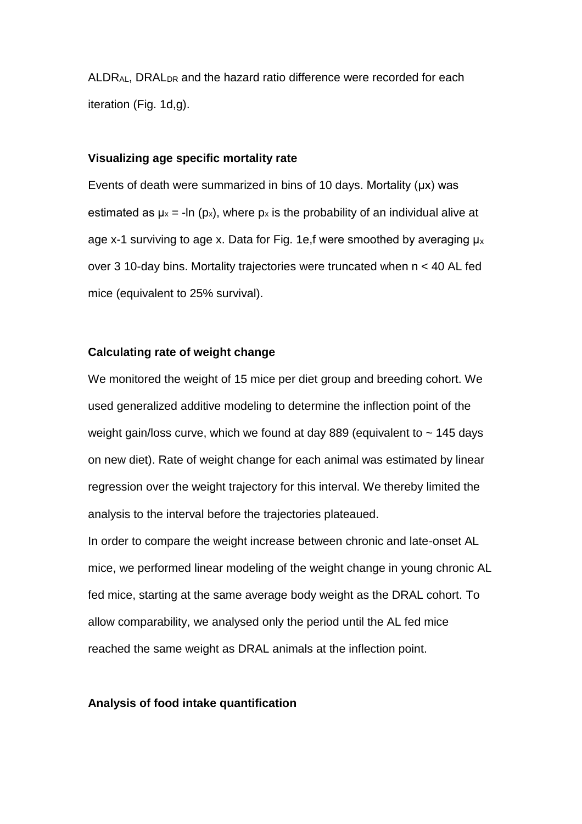ALDRAL, DRALDR and the hazard ratio difference were recorded for each iteration (Fig. 1d,g).

### **Visualizing age specific mortality rate**

Events of death were summarized in bins of 10 days. Mortality (μx) was estimated as  $\mu_x = -\ln(p_x)$ , where  $p_x$  is the probability of an individual alive at age x-1 surviving to age x. Data for Fig. 1e,f were smoothed by averaging  $\mu$ <sub>x</sub> over 3 10-day bins. Mortality trajectories were truncated when n < 40 AL fed mice (equivalent to 25% survival).

### **Calculating rate of weight change**

We monitored the weight of 15 mice per diet group and breeding cohort. We used generalized additive modeling to determine the inflection point of the weight gain/loss curve, which we found at day 889 (equivalent to  $\sim$  145 days on new diet). Rate of weight change for each animal was estimated by linear regression over the weight trajectory for this interval. We thereby limited the analysis to the interval before the trajectories plateaued.

In order to compare the weight increase between chronic and late-onset AL mice, we performed linear modeling of the weight change in young chronic AL fed mice, starting at the same average body weight as the DRAL cohort. To allow comparability, we analysed only the period until the AL fed mice reached the same weight as DRAL animals at the inflection point.

### **Analysis of food intake quantification**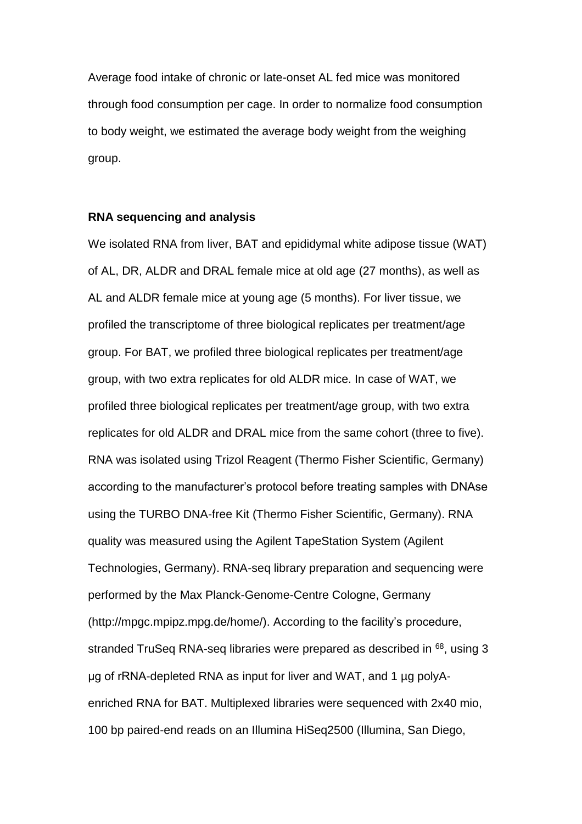Average food intake of chronic or late-onset AL fed mice was monitored through food consumption per cage. In order to normalize food consumption to body weight, we estimated the average body weight from the weighing group.

#### **RNA sequencing and analysis**

We isolated RNA from liver, BAT and epididymal white adipose tissue (WAT) of AL, DR, ALDR and DRAL female mice at old age (27 months), as well as AL and ALDR female mice at young age (5 months). For liver tissue, we profiled the transcriptome of three biological replicates per treatment/age group. For BAT, we profiled three biological replicates per treatment/age group, with two extra replicates for old ALDR mice. In case of WAT, we profiled three biological replicates per treatment/age group, with two extra replicates for old ALDR and DRAL mice from the same cohort (three to five). RNA was isolated using Trizol Reagent (Thermo Fisher Scientific, Germany) according to the manufacturer's protocol before treating samples with DNAse using the TURBO DNA-free Kit (Thermo Fisher Scientific, Germany). RNA quality was measured using the Agilent TapeStation System (Agilent Technologies, Germany). RNA-seq library preparation and sequencing were performed by the Max Planck-Genome-Centre Cologne, Germany (http://mpgc.mpipz.mpg.de/home/). According to the facility's procedure, stranded TruSeq RNA-seq libraries were prepared as described in <sup>68</sup>, using 3 μg of rRNA-depleted RNA as input for liver and WAT, and 1 µg polyAenriched RNA for BAT. Multiplexed libraries were sequenced with 2x40 mio, 100 bp paired-end reads on an Illumina HiSeq2500 (Illumina, San Diego,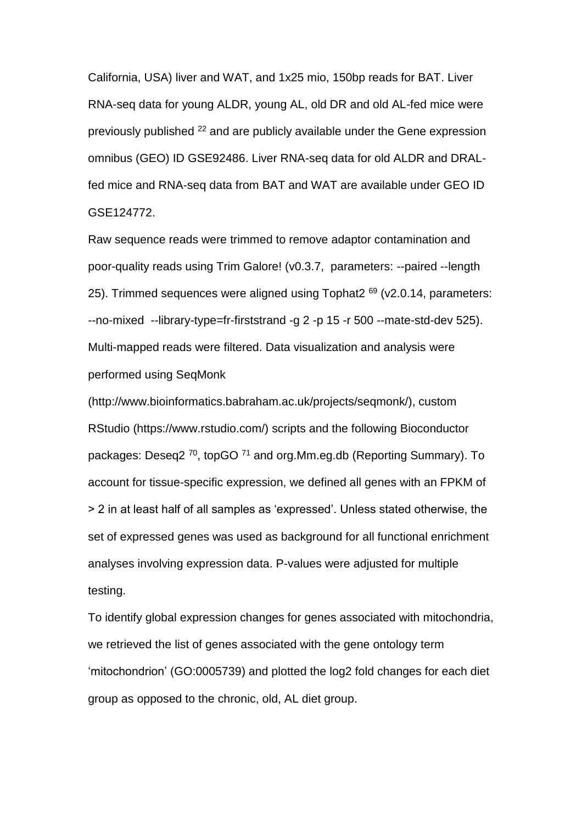California, USA) liver and WAT, and 1x25 mio, 150bp reads for BAT. Liver RNA-seq data for young ALDR, young AL, old DR and old AL-fed mice were previously published <sup>22</sup> and are publicly available under the Gene expression omnibus (GEO) ID GSE92486. Liver RNA-seq data for old ALDR and DRALfed mice and RNA-seq data from BAT and WAT are available under GEO ID GSE124772.

Raw sequence reads were trimmed to remove adaptor contamination and poor-quality reads using Trim Galore! (v0.3.7, parameters: --paired --length 25). Trimmed sequences were aligned using Tophat  $2^{69}$  (v2.0.14, parameters: --no-mixed --library-type=fr-firststrand -g 2 -p 15 -r 500 --mate-std-dev 525). Multi-mapped reads were filtered. Data visualization and analysis were performed using SeqMonk

(http://www.bioinformatics.babraham.ac.uk/projects/seqmonk/), custom RStudio (https://www.rstudio.com/) scripts and the following Bioconductor packages: Deseq2<sup>70</sup>, topGO<sup>71</sup> and org.Mm.eg.db (Reporting Summary). To account for tissue-specific expression, we defined all genes with an FPKM of > 2 in at least half of all samples as 'expressed'. Unless stated otherwise, the set of expressed genes was used as background for all functional enrichment analyses involving expression data. P-values were adjusted for multiple testing.

To identify global expression changes for genes associated with mitochondria, we retrieved the list of genes associated with the gene ontology term 'mitochondrion' (GO:0005739) and plotted the log2 fold changes for each diet group as opposed to the chronic, old, AL diet group.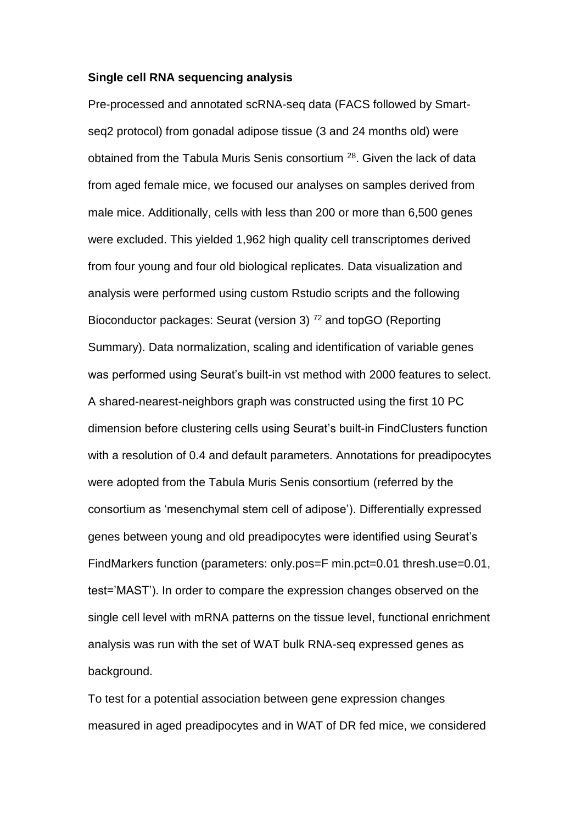#### **Single cell RNA sequencing analysis**

Pre-processed and annotated scRNA-seq data (FACS followed by Smartseq2 protocol) from gonadal adipose tissue (3 and 24 months old) were obtained from the Tabula Muris Senis consortium <sup>28</sup>. Given the lack of data from aged female mice, we focused our analyses on samples derived from male mice. Additionally, cells with less than 200 or more than 6,500 genes were excluded. This yielded 1,962 high quality cell transcriptomes derived from four young and four old biological replicates. Data visualization and analysis were performed using custom Rstudio scripts and the following Bioconductor packages: Seurat (version 3)<sup>72</sup> and topGO (Reporting Summary). Data normalization, scaling and identification of variable genes was performed using Seurat's built-in vst method with 2000 features to select. A shared-nearest-neighbors graph was constructed using the first 10 PC dimension before clustering cells using Seurat's built-in FindClusters function with a resolution of 0.4 and default parameters. Annotations for preadipocytes were adopted from the Tabula Muris Senis consortium (referred by the consortium as 'mesenchymal stem cell of adipose'). Differentially expressed genes between young and old preadipocytes were identified using Seurat's FindMarkers function (parameters: only.pos=F min.pct=0.01 thresh.use=0.01, test='MAST'). In order to compare the expression changes observed on the single cell level with mRNA patterns on the tissue level, functional enrichment analysis was run with the set of WAT bulk RNA-seq expressed genes as background.

To test for a potential association between gene expression changes measured in aged preadipocytes and in WAT of DR fed mice, we considered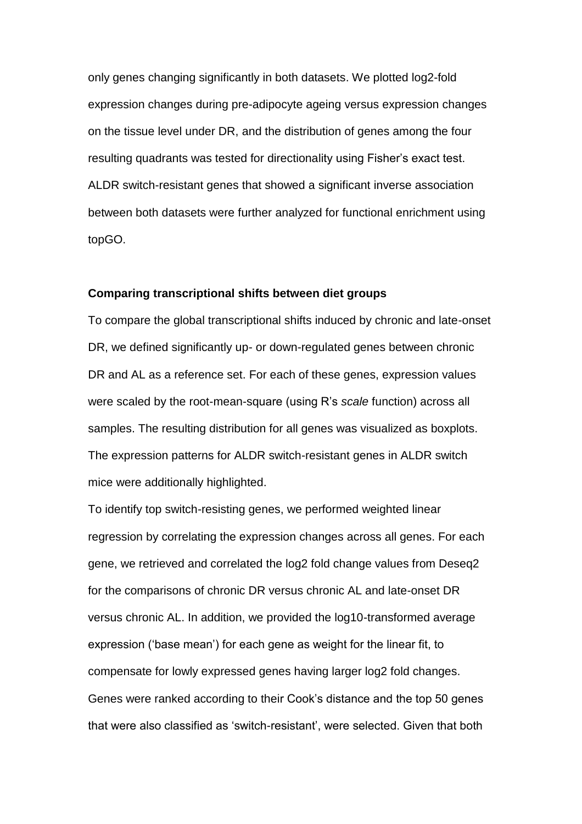only genes changing significantly in both datasets. We plotted log2-fold expression changes during pre-adipocyte ageing versus expression changes on the tissue level under DR, and the distribution of genes among the four resulting quadrants was tested for directionality using Fisher's exact test. ALDR switch-resistant genes that showed a significant inverse association between both datasets were further analyzed for functional enrichment using topGO.

#### **Comparing transcriptional shifts between diet groups**

To compare the global transcriptional shifts induced by chronic and late-onset DR, we defined significantly up- or down-regulated genes between chronic DR and AL as a reference set. For each of these genes, expression values were scaled by the root-mean-square (using R's *scale* function) across all samples. The resulting distribution for all genes was visualized as boxplots. The expression patterns for ALDR switch-resistant genes in ALDR switch mice were additionally highlighted.

To identify top switch-resisting genes, we performed weighted linear regression by correlating the expression changes across all genes. For each gene, we retrieved and correlated the log2 fold change values from Deseq2 for the comparisons of chronic DR versus chronic AL and late-onset DR versus chronic AL. In addition, we provided the log10-transformed average expression ('base mean') for each gene as weight for the linear fit, to compensate for lowly expressed genes having larger log2 fold changes. Genes were ranked according to their Cook's distance and the top 50 genes that were also classified as 'switch-resistant', were selected. Given that both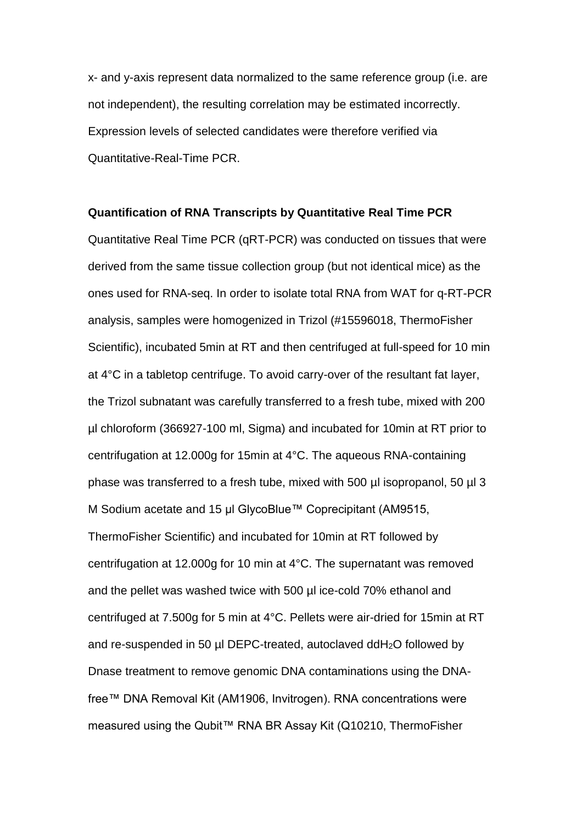x- and y-axis represent data normalized to the same reference group (i.e. are not independent), the resulting correlation may be estimated incorrectly. Expression levels of selected candidates were therefore verified via Quantitative-Real-Time PCR.

### **Quantification of RNA Transcripts by Quantitative Real Time PCR**

Quantitative Real Time PCR (qRT-PCR) was conducted on tissues that were derived from the same tissue collection group (but not identical mice) as the ones used for RNA-seq. In order to isolate total RNA from WAT for q-RT-PCR analysis, samples were homogenized in Trizol (#15596018, ThermoFisher Scientific), incubated 5min at RT and then centrifuged at full-speed for 10 min at 4°C in a tabletop centrifuge. To avoid carry-over of the resultant fat layer, the Trizol subnatant was carefully transferred to a fresh tube, mixed with 200 µl chloroform (366927-100 ml, Sigma) and incubated for 10min at RT prior to centrifugation at 12.000g for 15min at 4°C. The aqueous RNA-containing phase was transferred to a fresh tube, mixed with 500 µl isopropanol, 50 µl 3 M Sodium acetate and 15 µl GlycoBlue™ Coprecipitant (AM9515, ThermoFisher Scientific) and incubated for 10min at RT followed by centrifugation at 12.000g for 10 min at 4°C. The supernatant was removed and the pellet was washed twice with 500 µl ice-cold 70% ethanol and centrifuged at 7.500g for 5 min at 4°C. Pellets were air-dried for 15min at RT and re-suspended in 50 µl DEPC-treated, autoclaved ddH2O followed by Dnase treatment to remove genomic DNA contaminations using the DNAfree™ DNA Removal Kit (AM1906, Invitrogen). RNA concentrations were measured using the Qubit™ RNA BR Assay Kit (Q10210, ThermoFisher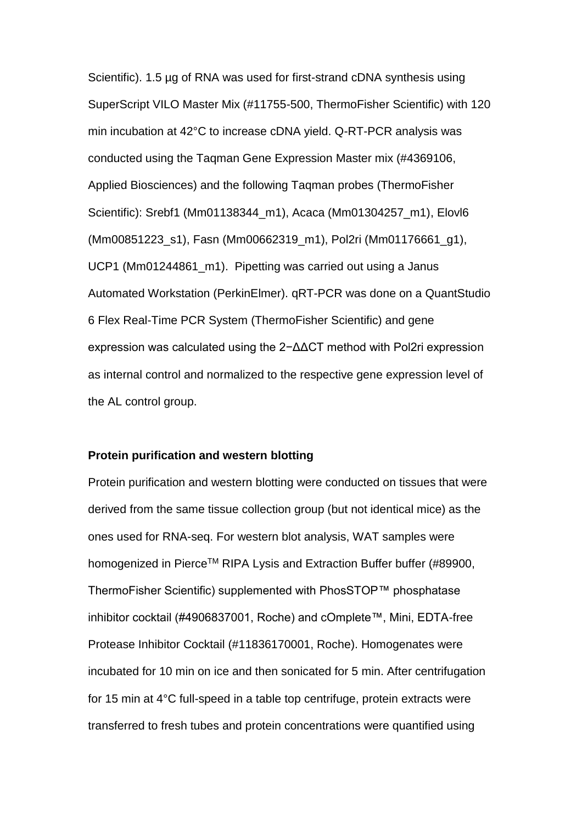Scientific). 1.5 µg of RNA was used for first-strand cDNA synthesis using SuperScript VILO Master Mix (#11755-500, ThermoFisher Scientific) with 120 min incubation at 42°C to increase cDNA yield. Q-RT-PCR analysis was conducted using the Taqman Gene Expression Master mix (#4369106, Applied Biosciences) and the following Taqman probes (ThermoFisher Scientific): Srebf1 (Mm01138344\_m1), Acaca (Mm01304257\_m1), Elovl6 (Mm00851223\_s1), Fasn (Mm00662319\_m1), Pol2ri (Mm01176661\_g1), UCP1 (Mm01244861\_m1). Pipetting was carried out using a Janus Automated Workstation (PerkinElmer). qRT-PCR was done on a QuantStudio 6 Flex Real-Time PCR System (ThermoFisher Scientific) and gene expression was calculated using the 2−ΔΔCT method with Pol2ri expression as internal control and normalized to the respective gene expression level of the AL control group.

### **Protein purification and western blotting**

Protein purification and western blotting were conducted on tissues that were derived from the same tissue collection group (but not identical mice) as the ones used for RNA-seq. For western blot analysis, WAT samples were homogenized in Pierce™ RIPA Lysis and Extraction Buffer buffer (#89900, ThermoFisher Scientific) supplemented with PhosSTOP™ phosphatase inhibitor cocktail (#4906837001, Roche) and cOmplete™, Mini, EDTA-free Protease Inhibitor Cocktail (#11836170001, Roche). Homogenates were incubated for 10 min on ice and then sonicated for 5 min. After centrifugation for 15 min at 4°C full-speed in a table top centrifuge, protein extracts were transferred to fresh tubes and protein concentrations were quantified using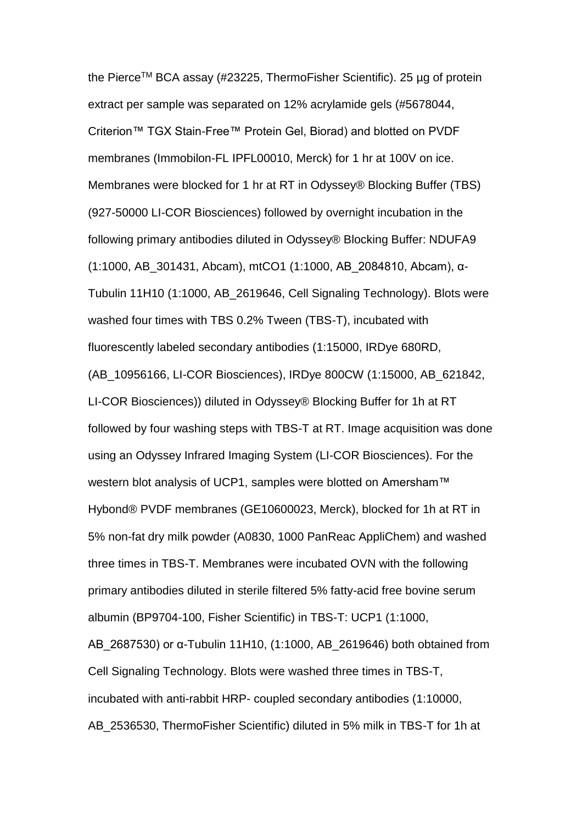the Pierce™ BCA assay (#23225, ThermoFisher Scientific). 25 µg of protein extract per sample was separated on 12% acrylamide gels (#5678044, Criterion™ TGX Stain-Free™ Protein Gel, Biorad) and blotted on PVDF membranes (Immobilon-FL IPFL00010, Merck) for 1 hr at 100V on ice. Membranes were blocked for 1 hr at RT in Odyssey® Blocking Buffer (TBS) (927-50000 LI-COR Biosciences) followed by overnight incubation in the following primary antibodies diluted in Odyssey® Blocking Buffer: NDUFA9 (1:1000, AB\_301431, Abcam), mtCO1 (1:1000, AB\_2084810, Abcam), α-Tubulin 11H10 (1:1000, AB\_2619646, Cell Signaling Technology). Blots were washed four times with TBS 0.2% Tween (TBS-T), incubated with fluorescently labeled secondary antibodies (1:15000, IRDye 680RD, (AB\_10956166, LI-COR Biosciences), IRDye 800CW (1:15000, AB\_621842, LI-COR Biosciences)) diluted in Odyssey® Blocking Buffer for 1h at RT followed by four washing steps with TBS-T at RT. Image acquisition was done using an Odyssey Infrared Imaging System (LI-COR Biosciences). For the western blot analysis of UCP1, samples were blotted on Amersham™ Hybond® PVDF membranes (GE10600023, Merck), blocked for 1h at RT in 5% non-fat dry milk powder (A0830, 1000 PanReac AppliChem) and washed three times in TBS-T. Membranes were incubated OVN with the following primary antibodies diluted in sterile filtered 5% fatty-acid free bovine serum albumin (BP9704-100, Fisher Scientific) in TBS-T: UCP1 (1:1000, AB\_2687530) or α-Tubulin 11H10, (1:1000, AB\_2619646) both obtained from Cell Signaling Technology. Blots were washed three times in TBS-T, incubated with anti-rabbit HRP- coupled secondary antibodies (1:10000, AB\_2536530, ThermoFisher Scientific) diluted in 5% milk in TBS-T for 1h at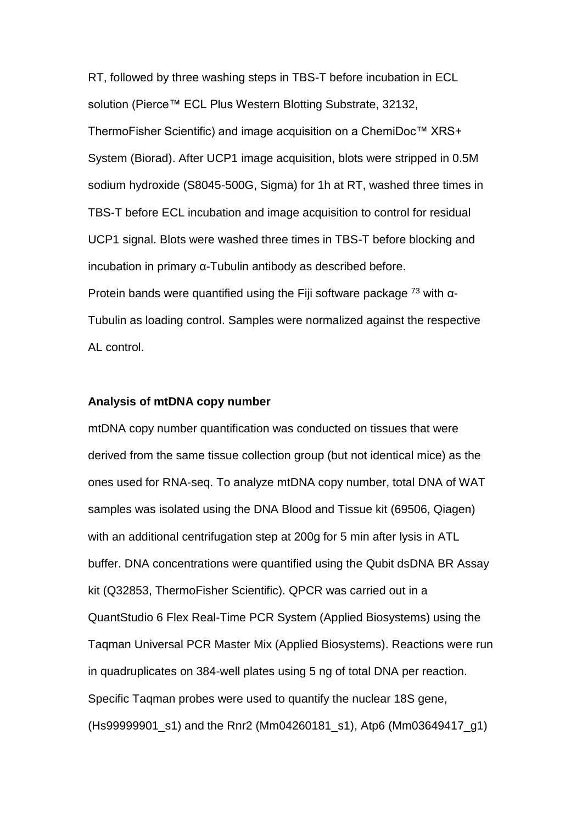RT, followed by three washing steps in TBS-T before incubation in ECL solution (Pierce™ ECL Plus Western Blotting Substrate, 32132, ThermoFisher Scientific) and image acquisition on a ChemiDoc™ XRS+ System (Biorad). After UCP1 image acquisition, blots were stripped in 0.5M sodium hydroxide (S8045-500G, Sigma) for 1h at RT, washed three times in TBS-T before ECL incubation and image acquisition to control for residual UCP1 signal. Blots were washed three times in TBS-T before blocking and incubation in primary α-Tubulin antibody as described before. Protein bands were quantified using the Fiji software package  $^{73}$  with  $\alpha$ -Tubulin as loading control. Samples were normalized against the respective AL control.

### **Analysis of mtDNA copy number**

mtDNA copy number quantification was conducted on tissues that were derived from the same tissue collection group (but not identical mice) as the ones used for RNA-seq. To analyze mtDNA copy number, total DNA of WAT samples was isolated using the DNA Blood and Tissue kit (69506, Qiagen) with an additional centrifugation step at 200g for 5 min after lysis in ATL buffer. DNA concentrations were quantified using the Qubit dsDNA BR Assay kit (Q32853, ThermoFisher Scientific). QPCR was carried out in a QuantStudio 6 Flex Real-Time PCR System (Applied Biosystems) using the Taqman Universal PCR Master Mix (Applied Biosystems). Reactions were run in quadruplicates on 384-well plates using 5 ng of total DNA per reaction. Specific Taqman probes were used to quantify the nuclear 18S gene, (Hs99999901\_s1) and the Rnr2 (Mm04260181\_s1), Atp6 (Mm03649417\_g1)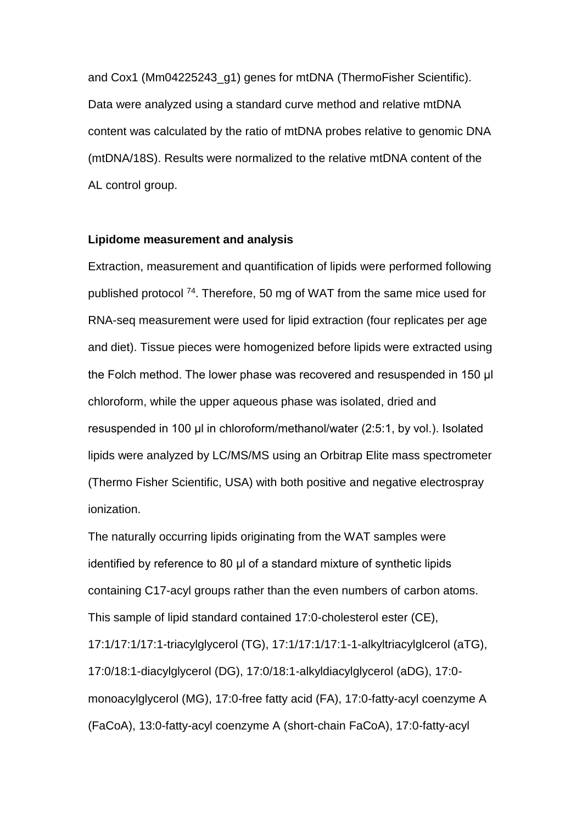and Cox1 (Mm04225243\_g1) genes for mtDNA (ThermoFisher Scientific). Data were analyzed using a standard curve method and relative mtDNA content was calculated by the ratio of mtDNA probes relative to genomic DNA (mtDNA/18S). Results were normalized to the relative mtDNA content of the AL control group.

### **Lipidome measurement and analysis**

Extraction, measurement and quantification of lipids were performed following published protocol <sup>74</sup>. Therefore, 50 mg of WAT from the same mice used for RNA-seq measurement were used for lipid extraction (four replicates per age and diet). Tissue pieces were homogenized before lipids were extracted using the Folch method. The lower phase was recovered and resuspended in 150 μl chloroform, while the upper aqueous phase was isolated, dried and resuspended in 100 μl in chloroform/methanol/water (2:5:1, by vol.). Isolated lipids were analyzed by LC/MS/MS using an Orbitrap Elite mass spectrometer (Thermo Fisher Scientific, USA) with both positive and negative electrospray ionization.

The naturally occurring lipids originating from the WAT samples were identified by reference to 80 μl of a standard mixture of synthetic lipids containing C17-acyl groups rather than the even numbers of carbon atoms. This sample of lipid standard contained 17:0-cholesterol ester (CE), 17:1/17:1/17:1-triacylglycerol (TG), 17:1/17:1/17:1-1-alkyltriacylglcerol (aTG), 17:0/18:1-diacylglycerol (DG), 17:0/18:1-alkyldiacylglycerol (aDG), 17:0 monoacylglycerol (MG), 17:0-free fatty acid (FA), 17:0-fatty-acyl coenzyme A (FaCoA), 13:0-fatty-acyl coenzyme A (short-chain FaCoA), 17:0-fatty-acyl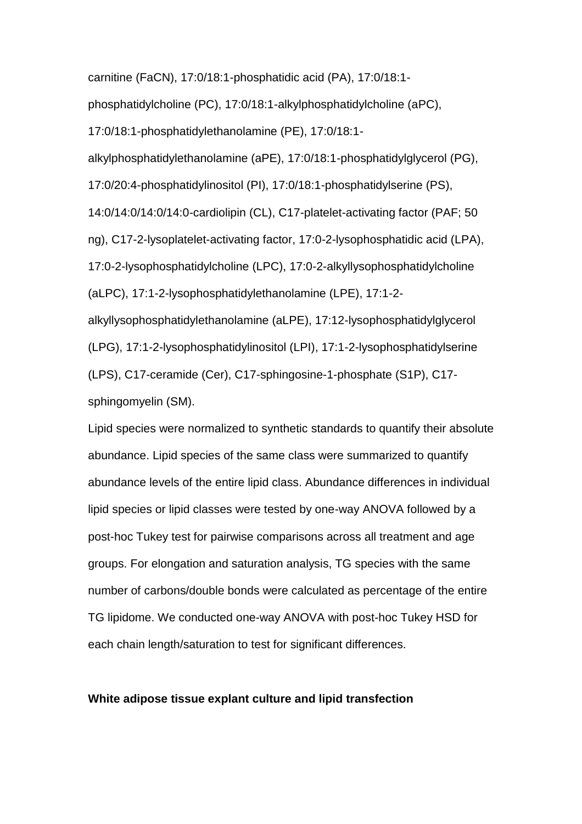carnitine (FaCN), 17:0/18:1-phosphatidic acid (PA), 17:0/18:1-

phosphatidylcholine (PC), 17:0/18:1-alkylphosphatidylcholine (aPC),

17:0/18:1-phosphatidylethanolamine (PE), 17:0/18:1-

alkylphosphatidylethanolamine (aPE), 17:0/18:1-phosphatidylglycerol (PG),

17:0/20:4-phosphatidylinositol (PI), 17:0/18:1-phosphatidylserine (PS),

14:0/14:0/14:0/14:0-cardiolipin (CL), C17-platelet-activating factor (PAF; 50 ng), C17-2-lysoplatelet-activating factor, 17:0-2-lysophosphatidic acid (LPA), 17:0-2-lysophosphatidylcholine (LPC), 17:0-2-alkyllysophosphatidylcholine (aLPC), 17:1-2-lysophosphatidylethanolamine (LPE), 17:1-2 alkyllysophosphatidylethanolamine (aLPE), 17:12-lysophosphatidylglycerol

(LPG), 17:1-2-lysophosphatidylinositol (LPI), 17:1-2-lysophosphatidylserine (LPS), C17-ceramide (Cer), C17-sphingosine-1-phosphate (S1P), C17 sphingomyelin (SM).

Lipid species were normalized to synthetic standards to quantify their absolute abundance. Lipid species of the same class were summarized to quantify abundance levels of the entire lipid class. Abundance differences in individual lipid species or lipid classes were tested by one-way ANOVA followed by a post-hoc Tukey test for pairwise comparisons across all treatment and age groups. For elongation and saturation analysis, TG species with the same number of carbons/double bonds were calculated as percentage of the entire TG lipidome. We conducted one-way ANOVA with post-hoc Tukey HSD for each chain length/saturation to test for significant differences.

## **White adipose tissue explant culture and lipid transfection**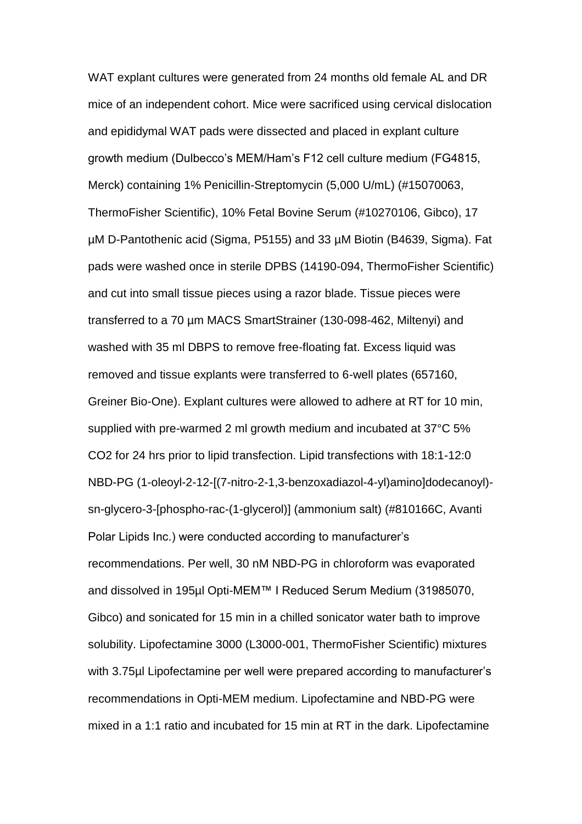WAT explant cultures were generated from 24 months old female AL and DR mice of an independent cohort. Mice were sacrificed using cervical dislocation and epididymal WAT pads were dissected and placed in explant culture growth medium (Dulbecco's MEM/Ham's F12 cell culture medium (FG4815, Merck) containing 1% Penicillin-Streptomycin (5,000 U/mL) (#15070063, ThermoFisher Scientific), 10% Fetal Bovine Serum (#10270106, Gibco), 17 µM D-Pantothenic acid (Sigma, P5155) and 33 µM Biotin (B4639, Sigma). Fat pads were washed once in sterile DPBS (14190-094, ThermoFisher Scientific) and cut into small tissue pieces using a razor blade. Tissue pieces were transferred to a 70 µm MACS SmartStrainer (130-098-462, Miltenyi) and washed with 35 ml DBPS to remove free-floating fat. Excess liquid was removed and tissue explants were transferred to 6-well plates (657160, Greiner Bio-One). Explant cultures were allowed to adhere at RT for 10 min, supplied with pre-warmed 2 ml growth medium and incubated at 37°C 5% CO2 for 24 hrs prior to lipid transfection. Lipid transfections with 18:1-12:0 NBD-PG (1-oleoyl-2-12-[(7-nitro-2-1,3-benzoxadiazol-4-yl)amino]dodecanoyl) sn-glycero-3-[phospho-rac-(1-glycerol)] (ammonium salt) (#810166C, Avanti Polar Lipids Inc.) were conducted according to manufacturer's recommendations. Per well, 30 nM NBD-PG in chloroform was evaporated and dissolved in 195µl Opti-MEM™ I Reduced Serum Medium (31985070, Gibco) and sonicated for 15 min in a chilled sonicator water bath to improve solubility. Lipofectamine 3000 (L3000-001, ThermoFisher Scientific) mixtures with 3.75µl Lipofectamine per well were prepared according to manufacturer's recommendations in Opti-MEM medium. Lipofectamine and NBD-PG were mixed in a 1:1 ratio and incubated for 15 min at RT in the dark. Lipofectamine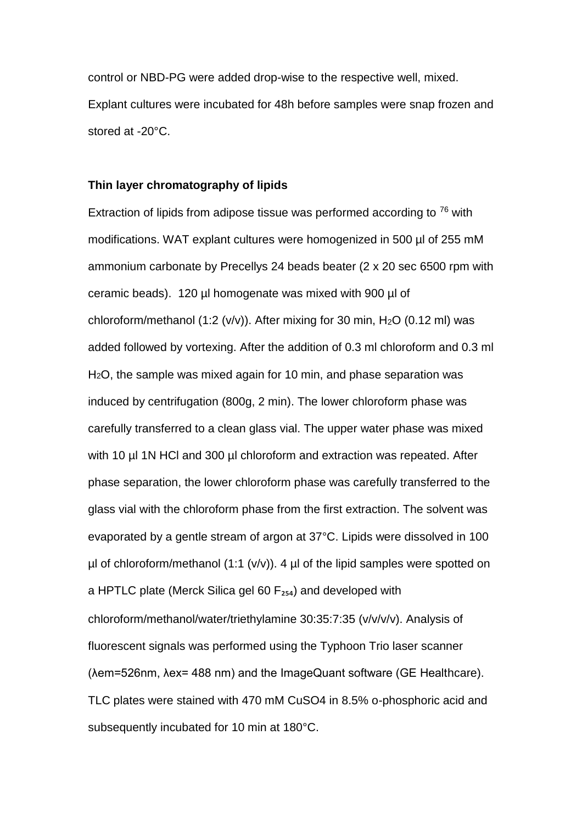control or NBD-PG were added drop-wise to the respective well, mixed. Explant cultures were incubated for 48h before samples were snap frozen and stored at -20°C.

### **Thin layer chromatography of lipids**

Extraction of lipids from adipose tissue was performed according to  $76$  with modifications. WAT explant cultures were homogenized in 500 µl of 255 mM ammonium carbonate by Precellys 24 beads beater (2 x 20 sec 6500 rpm with ceramic beads). 120 µl homogenate was mixed with 900 µl of chloroform/methanol (1:2 (v/v)). After mixing for 30 min, H<sub>2</sub>O (0.12 ml) was added followed by vortexing. After the addition of 0.3 ml chloroform and 0.3 ml H<sub>2</sub>O, the sample was mixed again for 10 min, and phase separation was induced by centrifugation (800g, 2 min). The lower chloroform phase was carefully transferred to a clean glass vial. The upper water phase was mixed with 10 µl 1N HCl and 300 µl chloroform and extraction was repeated. After phase separation, the lower chloroform phase was carefully transferred to the glass vial with the chloroform phase from the first extraction. The solvent was evaporated by a gentle stream of argon at 37°C. Lipids were dissolved in 100  $\mu$ l of chloroform/methanol (1:1 (v/v)). 4  $\mu$ l of the lipid samples were spotted on a HPTLC plate (Merck Silica gel 60  $F_{254}$ ) and developed with chloroform/methanol/water/triethylamine 30:35:7:35 (v/v/v/v). Analysis of fluorescent signals was performed using the Typhoon Trio laser scanner (λem=526nm, λex= 488 nm) and the ImageQuant software (GE Healthcare). TLC plates were stained with 470 mM CuSO4 in 8.5% o-phosphoric acid and subsequently incubated for 10 min at 180°C.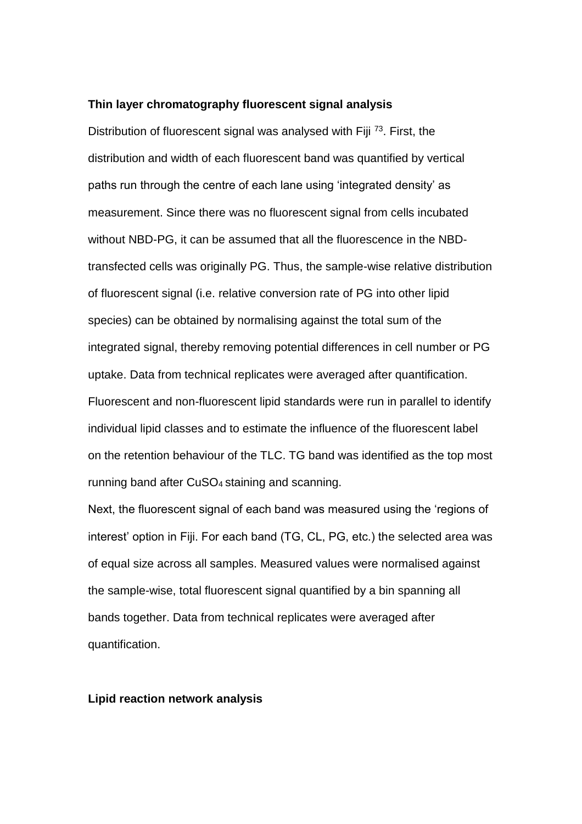#### **Thin layer chromatography fluorescent signal analysis**

Distribution of fluorescent signal was analysed with Fiji <sup>73</sup>. First, the distribution and width of each fluorescent band was quantified by vertical paths run through the centre of each lane using 'integrated density' as measurement. Since there was no fluorescent signal from cells incubated without NBD-PG, it can be assumed that all the fluorescence in the NBDtransfected cells was originally PG. Thus, the sample-wise relative distribution of fluorescent signal (i.e. relative conversion rate of PG into other lipid species) can be obtained by normalising against the total sum of the integrated signal, thereby removing potential differences in cell number or PG uptake. Data from technical replicates were averaged after quantification. Fluorescent and non-fluorescent lipid standards were run in parallel to identify individual lipid classes and to estimate the influence of the fluorescent label on the retention behaviour of the TLC. TG band was identified as the top most running band after CuSO4 staining and scanning.

Next, the fluorescent signal of each band was measured using the 'regions of interest' option in Fiji. For each band (TG, CL, PG, etc.) the selected area was of equal size across all samples. Measured values were normalised against the sample-wise, total fluorescent signal quantified by a bin spanning all bands together. Data from technical replicates were averaged after quantification.

#### **Lipid reaction network analysis**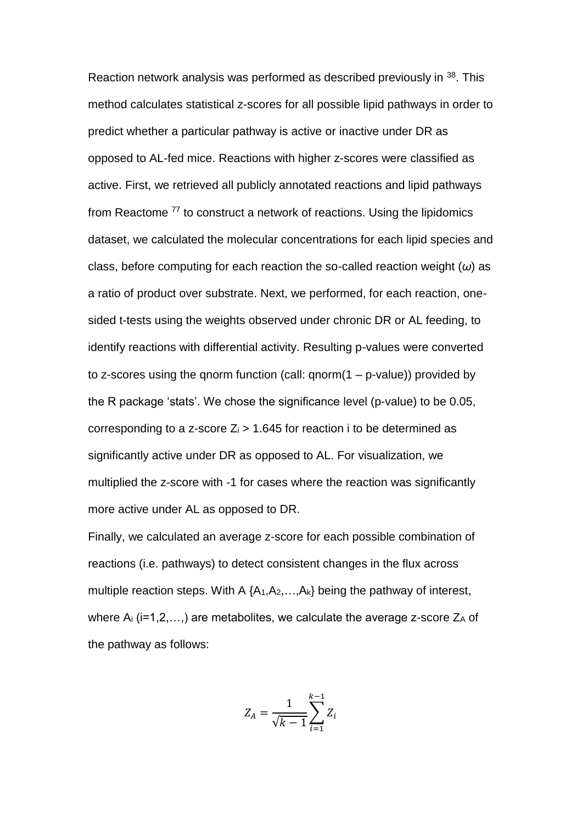Reaction network analysis was performed as described previously in <sup>38</sup>. This method calculates statistical z-scores for all possible lipid pathways in order to predict whether a particular pathway is active or inactive under DR as opposed to AL-fed mice. Reactions with higher z-scores were classified as active. First, we retrieved all publicly annotated reactions and lipid pathways from Reactome <sup>77</sup> to construct a network of reactions. Using the lipidomics dataset, we calculated the molecular concentrations for each lipid species and class, before computing for each reaction the so-called reaction weight (*ω*) as a ratio of product over substrate. Next, we performed, for each reaction, onesided t-tests using the weights observed under chronic DR or AL feeding, to identify reactions with differential activity. Resulting p-values were converted to z-scores using the qnorm function (call:  $qnorm(1 - p-value)$ ) provided by the R package 'stats'. We chose the significance level (p-value) to be 0.05, corresponding to a z-score  $Z_i > 1.645$  for reaction i to be determined as significantly active under DR as opposed to AL. For visualization, we multiplied the z-score with -1 for cases where the reaction was significantly more active under AL as opposed to DR.

Finally, we calculated an average z-score for each possible combination of reactions (i.e. pathways) to detect consistent changes in the flux across multiple reaction steps. With A  ${A_1, A_2, \ldots, A_k}$  being the pathway of interest, where  $A_i$  (i=1,2,...,) are metabolites, we calculate the average z-score  $Z_A$  of the pathway as follows:

$$
Z_A = \frac{1}{\sqrt{k-1}} \sum_{i=1}^{k-1} Z_i
$$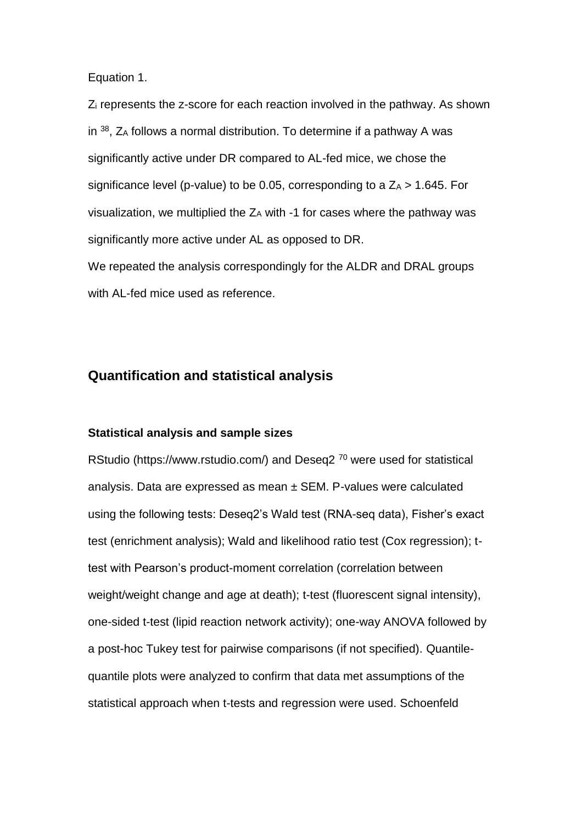Equation 1.

Z<sup>i</sup> represents the z-score for each reaction involved in the pathway. As shown in  $38$ , Z<sub>A</sub> follows a normal distribution. To determine if a pathway A was significantly active under DR compared to AL-fed mice, we chose the significance level (p-value) to be 0.05, corresponding to a  $Z_A > 1.645$ . For visualization, we multiplied the ZA with -1 for cases where the pathway was significantly more active under AL as opposed to DR. We repeated the analysis correspondingly for the ALDR and DRAL groups with AL-fed mice used as reference.

## **Quantification and statistical analysis**

### **Statistical analysis and sample sizes**

RStudio (https://www.rstudio.com/) and Deseq2<sup>70</sup> were used for statistical analysis. Data are expressed as mean  $\pm$  SEM. P-values were calculated using the following tests: Deseq2's Wald test (RNA-seq data), Fisher's exact test (enrichment analysis); Wald and likelihood ratio test (Cox regression); ttest with Pearson's product-moment correlation (correlation between weight/weight change and age at death); t-test (fluorescent signal intensity), one-sided t-test (lipid reaction network activity); one-way ANOVA followed by a post-hoc Tukey test for pairwise comparisons (if not specified). Quantilequantile plots were analyzed to confirm that data met assumptions of the statistical approach when t-tests and regression were used. Schoenfeld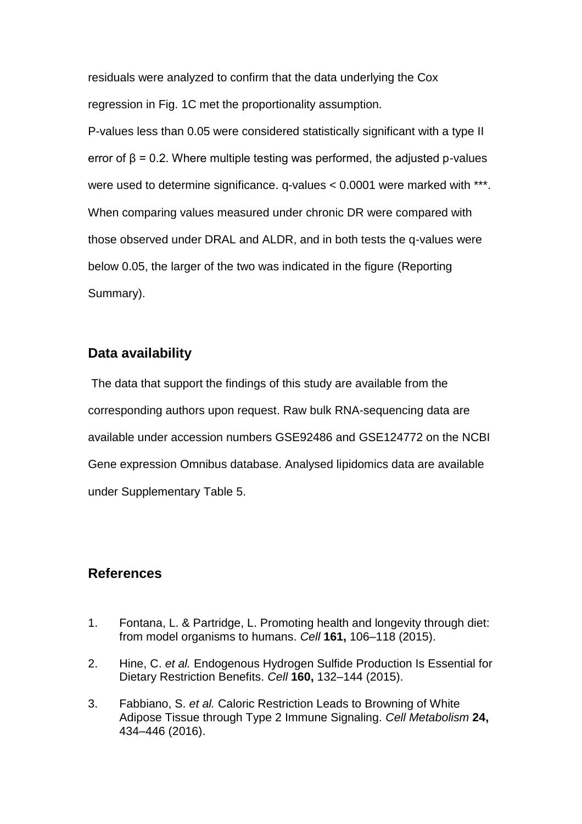residuals were analyzed to confirm that the data underlying the Cox regression in Fig. 1C met the proportionality assumption.

P-values less than 0.05 were considered statistically significant with a type II error of  $\beta$  = 0.2. Where multiple testing was performed, the adjusted p-values were used to determine significance. q-values < 0.0001 were marked with \*\*\*. When comparing values measured under chronic DR were compared with those observed under DRAL and ALDR, and in both tests the q-values were below 0.05, the larger of the two was indicated in the figure (Reporting Summary).

## **Data availability**

The data that support the findings of this study are available from the corresponding authors upon request. Raw bulk RNA-sequencing data are available under accession numbers GSE92486 and GSE124772 on the NCBI Gene expression Omnibus database. Analysed lipidomics data are available under Supplementary Table 5.

## **References**

- 1. Fontana, L. & Partridge, L. Promoting health and longevity through diet: from model organisms to humans. *Cell* **161,** 106–118 (2015).
- 2. Hine, C. *et al.* Endogenous Hydrogen Sulfide Production Is Essential for Dietary Restriction Benefits. *Cell* **160,** 132–144 (2015).
- 3. Fabbiano, S. *et al.* Caloric Restriction Leads to Browning of White Adipose Tissue through Type 2 Immune Signaling. *Cell Metabolism* **24,** 434–446 (2016).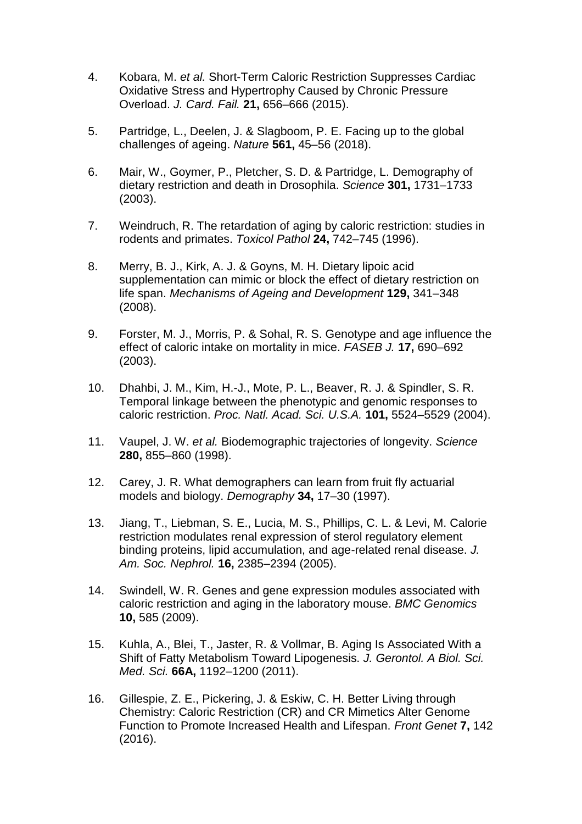- 4. Kobara, M. *et al.* Short-Term Caloric Restriction Suppresses Cardiac Oxidative Stress and Hypertrophy Caused by Chronic Pressure Overload. *J. Card. Fail.* **21,** 656–666 (2015).
- 5. Partridge, L., Deelen, J. & Slagboom, P. E. Facing up to the global challenges of ageing. *Nature* **561,** 45–56 (2018).
- 6. Mair, W., Goymer, P., Pletcher, S. D. & Partridge, L. Demography of dietary restriction and death in Drosophila. *Science* **301,** 1731–1733 (2003).
- 7. Weindruch, R. The retardation of aging by caloric restriction: studies in rodents and primates. *Toxicol Pathol* **24,** 742–745 (1996).
- 8. Merry, B. J., Kirk, A. J. & Goyns, M. H. Dietary lipoic acid supplementation can mimic or block the effect of dietary restriction on life span. *Mechanisms of Ageing and Development* **129,** 341–348 (2008).
- 9. Forster, M. J., Morris, P. & Sohal, R. S. Genotype and age influence the effect of caloric intake on mortality in mice. *FASEB J.* **17,** 690–692 (2003).
- 10. Dhahbi, J. M., Kim, H.-J., Mote, P. L., Beaver, R. J. & Spindler, S. R. Temporal linkage between the phenotypic and genomic responses to caloric restriction. *Proc. Natl. Acad. Sci. U.S.A.* **101,** 5524–5529 (2004).
- 11. Vaupel, J. W. *et al.* Biodemographic trajectories of longevity. *Science* **280,** 855–860 (1998).
- 12. Carey, J. R. What demographers can learn from fruit fly actuarial models and biology. *Demography* **34,** 17–30 (1997).
- 13. Jiang, T., Liebman, S. E., Lucia, M. S., Phillips, C. L. & Levi, M. Calorie restriction modulates renal expression of sterol regulatory element binding proteins, lipid accumulation, and age-related renal disease. *J. Am. Soc. Nephrol.* **16,** 2385–2394 (2005).
- 14. Swindell, W. R. Genes and gene expression modules associated with caloric restriction and aging in the laboratory mouse. *BMC Genomics* **10,** 585 (2009).
- 15. Kuhla, A., Blei, T., Jaster, R. & Vollmar, B. Aging Is Associated With a Shift of Fatty Metabolism Toward Lipogenesis. *J. Gerontol. A Biol. Sci. Med. Sci.* **66A,** 1192–1200 (2011).
- 16. Gillespie, Z. E., Pickering, J. & Eskiw, C. H. Better Living through Chemistry: Caloric Restriction (CR) and CR Mimetics Alter Genome Function to Promote Increased Health and Lifespan. *Front Genet* **7,** 142 (2016).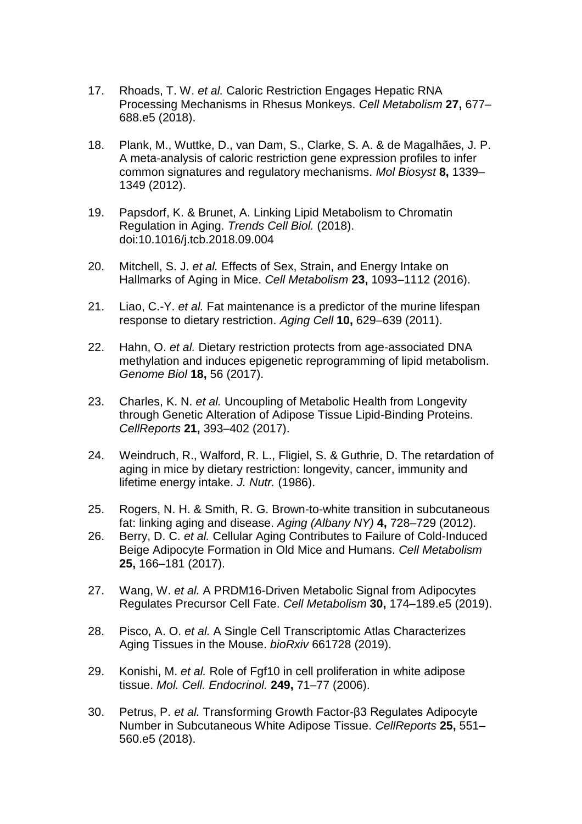- 17. Rhoads, T. W. *et al.* Caloric Restriction Engages Hepatic RNA Processing Mechanisms in Rhesus Monkeys. *Cell Metabolism* **27,** 677– 688.e5 (2018).
- 18. Plank, M., Wuttke, D., van Dam, S., Clarke, S. A. & de Magalhães, J. P. A meta-analysis of caloric restriction gene expression profiles to infer common signatures and regulatory mechanisms. *Mol Biosyst* **8,** 1339– 1349 (2012).
- 19. Papsdorf, K. & Brunet, A. Linking Lipid Metabolism to Chromatin Regulation in Aging. *Trends Cell Biol.* (2018). doi:10.1016/j.tcb.2018.09.004
- 20. Mitchell, S. J. *et al.* Effects of Sex, Strain, and Energy Intake on Hallmarks of Aging in Mice. *Cell Metabolism* **23,** 1093–1112 (2016).
- 21. Liao, C.-Y. *et al.* Fat maintenance is a predictor of the murine lifespan response to dietary restriction. *Aging Cell* **10,** 629–639 (2011).
- 22. Hahn, O. *et al.* Dietary restriction protects from age-associated DNA methylation and induces epigenetic reprogramming of lipid metabolism. *Genome Biol* **18,** 56 (2017).
- 23. Charles, K. N. *et al.* Uncoupling of Metabolic Health from Longevity through Genetic Alteration of Adipose Tissue Lipid-Binding Proteins. *CellReports* **21,** 393–402 (2017).
- 24. Weindruch, R., Walford, R. L., Fligiel, S. & Guthrie, D. The retardation of aging in mice by dietary restriction: longevity, cancer, immunity and lifetime energy intake. *J. Nutr.* (1986).
- 25. Rogers, N. H. & Smith, R. G. Brown-to-white transition in subcutaneous fat: linking aging and disease. *Aging (Albany NY)* **4,** 728–729 (2012).
- 26. Berry, D. C. *et al.* Cellular Aging Contributes to Failure of Cold-Induced Beige Adipocyte Formation in Old Mice and Humans. *Cell Metabolism* **25,** 166–181 (2017).
- 27. Wang, W. *et al.* A PRDM16-Driven Metabolic Signal from Adipocytes Regulates Precursor Cell Fate. *Cell Metabolism* **30,** 174–189.e5 (2019).
- 28. Pisco, A. O. *et al.* A Single Cell Transcriptomic Atlas Characterizes Aging Tissues in the Mouse. *bioRxiv* 661728 (2019).
- 29. Konishi, M. *et al.* Role of Fgf10 in cell proliferation in white adipose tissue. *Mol. Cell. Endocrinol.* **249,** 71–77 (2006).
- 30. Petrus, P. *et al.* Transforming Growth Factor-β3 Regulates Adipocyte Number in Subcutaneous White Adipose Tissue. *CellReports* **25,** 551– 560.e5 (2018).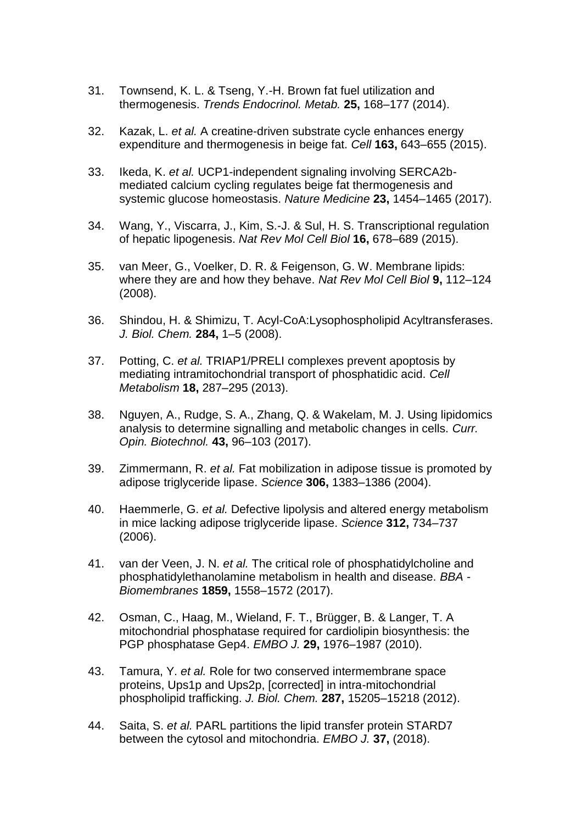- 31. Townsend, K. L. & Tseng, Y.-H. Brown fat fuel utilization and thermogenesis. *Trends Endocrinol. Metab.* **25,** 168–177 (2014).
- 32. Kazak, L. *et al.* A creatine-driven substrate cycle enhances energy expenditure and thermogenesis in beige fat. *Cell* **163,** 643–655 (2015).
- 33. Ikeda, K. *et al.* UCP1-independent signaling involving SERCA2bmediated calcium cycling regulates beige fat thermogenesis and systemic glucose homeostasis. *Nature Medicine* **23,** 1454–1465 (2017).
- 34. Wang, Y., Viscarra, J., Kim, S.-J. & Sul, H. S. Transcriptional regulation of hepatic lipogenesis. *Nat Rev Mol Cell Biol* **16,** 678–689 (2015).
- 35. van Meer, G., Voelker, D. R. & Feigenson, G. W. Membrane lipids: where they are and how they behave. *Nat Rev Mol Cell Biol* **9,** 112–124 (2008).
- 36. Shindou, H. & Shimizu, T. Acyl-CoA:Lysophospholipid Acyltransferases. *J. Biol. Chem.* **284,** 1–5 (2008).
- 37. Potting, C. *et al.* TRIAP1/PRELI complexes prevent apoptosis by mediating intramitochondrial transport of phosphatidic acid. *Cell Metabolism* **18,** 287–295 (2013).
- 38. Nguyen, A., Rudge, S. A., Zhang, Q. & Wakelam, M. J. Using lipidomics analysis to determine signalling and metabolic changes in cells. *Curr. Opin. Biotechnol.* **43,** 96–103 (2017).
- 39. Zimmermann, R. *et al.* Fat mobilization in adipose tissue is promoted by adipose triglyceride lipase. *Science* **306,** 1383–1386 (2004).
- 40. Haemmerle, G. *et al.* Defective lipolysis and altered energy metabolism in mice lacking adipose triglyceride lipase. *Science* **312,** 734–737 (2006).
- 41. van der Veen, J. N. *et al.* The critical role of phosphatidylcholine and phosphatidylethanolamine metabolism in health and disease. *BBA - Biomembranes* **1859,** 1558–1572 (2017).
- 42. Osman, C., Haag, M., Wieland, F. T., Brügger, B. & Langer, T. A mitochondrial phosphatase required for cardiolipin biosynthesis: the PGP phosphatase Gep4. *EMBO J.* **29,** 1976–1987 (2010).
- 43. Tamura, Y. *et al.* Role for two conserved intermembrane space proteins, Ups1p and Ups2p, [corrected] in intra-mitochondrial phospholipid trafficking. *J. Biol. Chem.* **287,** 15205–15218 (2012).
- 44. Saita, S. *et al.* PARL partitions the lipid transfer protein STARD7 between the cytosol and mitochondria. *EMBO J.* **37,** (2018).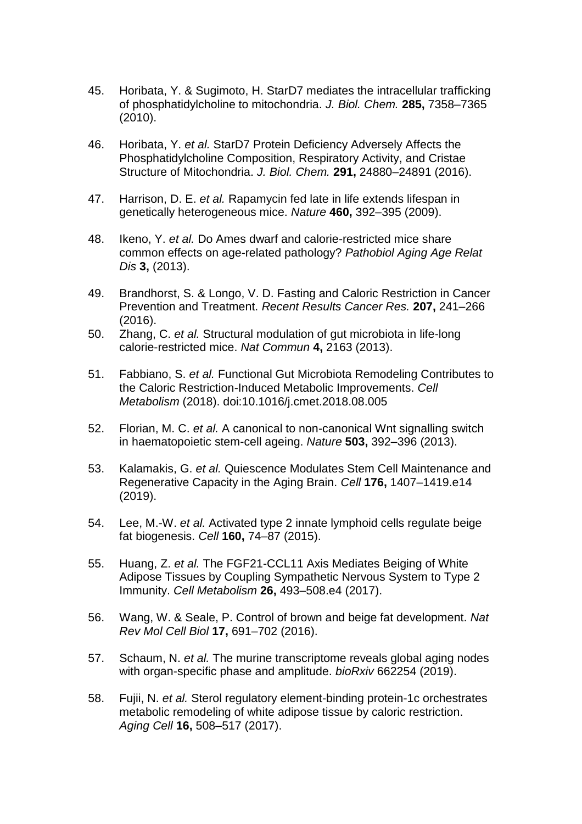- 45. Horibata, Y. & Sugimoto, H. StarD7 mediates the intracellular trafficking of phosphatidylcholine to mitochondria. *J. Biol. Chem.* **285,** 7358–7365 (2010).
- 46. Horibata, Y. *et al.* StarD7 Protein Deficiency Adversely Affects the Phosphatidylcholine Composition, Respiratory Activity, and Cristae Structure of Mitochondria. *J. Biol. Chem.* **291,** 24880–24891 (2016).
- 47. Harrison, D. E. *et al.* Rapamycin fed late in life extends lifespan in genetically heterogeneous mice. *Nature* **460,** 392–395 (2009).
- 48. Ikeno, Y. *et al.* Do Ames dwarf and calorie-restricted mice share common effects on age-related pathology? *Pathobiol Aging Age Relat Dis* **3,** (2013).
- 49. Brandhorst, S. & Longo, V. D. Fasting and Caloric Restriction in Cancer Prevention and Treatment. *Recent Results Cancer Res.* **207,** 241–266 (2016).
- 50. Zhang, C. *et al.* Structural modulation of gut microbiota in life-long calorie-restricted mice. *Nat Commun* **4,** 2163 (2013).
- 51. Fabbiano, S. *et al.* Functional Gut Microbiota Remodeling Contributes to the Caloric Restriction-Induced Metabolic Improvements. *Cell Metabolism* (2018). doi:10.1016/j.cmet.2018.08.005
- 52. Florian, M. C. *et al.* A canonical to non-canonical Wnt signalling switch in haematopoietic stem-cell ageing. *Nature* **503,** 392–396 (2013).
- 53. Kalamakis, G. *et al.* Quiescence Modulates Stem Cell Maintenance and Regenerative Capacity in the Aging Brain. *Cell* **176,** 1407–1419.e14 (2019).
- 54. Lee, M.-W. *et al.* Activated type 2 innate lymphoid cells regulate beige fat biogenesis. *Cell* **160,** 74–87 (2015).
- 55. Huang, Z. *et al.* The FGF21-CCL11 Axis Mediates Beiging of White Adipose Tissues by Coupling Sympathetic Nervous System to Type 2 Immunity. *Cell Metabolism* **26,** 493–508.e4 (2017).
- 56. Wang, W. & Seale, P. Control of brown and beige fat development. *Nat Rev Mol Cell Biol* **17,** 691–702 (2016).
- 57. Schaum, N. *et al.* The murine transcriptome reveals global aging nodes with organ-specific phase and amplitude. *bioRxiv* 662254 (2019).
- 58. Fujii, N. *et al.* Sterol regulatory element-binding protein-1c orchestrates metabolic remodeling of white adipose tissue by caloric restriction. *Aging Cell* **16,** 508–517 (2017).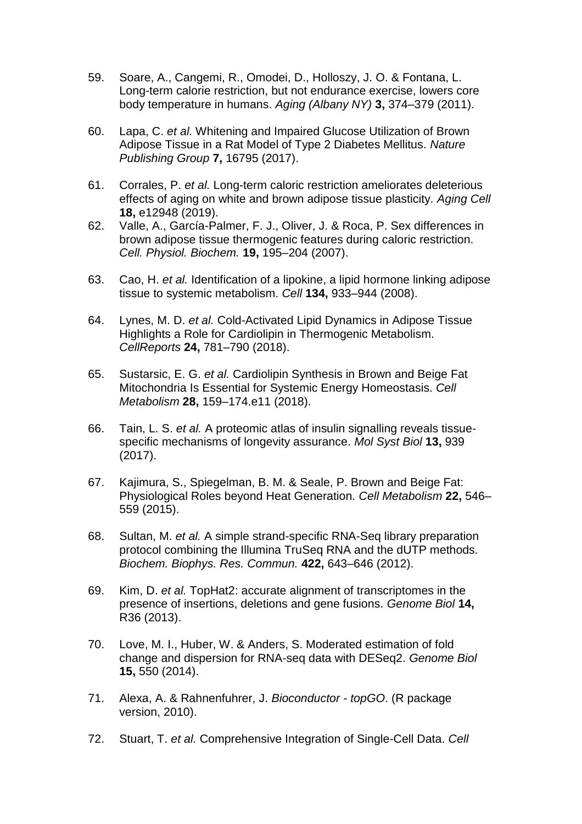- 59. Soare, A., Cangemi, R., Omodei, D., Holloszy, J. O. & Fontana, L. Long-term calorie restriction, but not endurance exercise, lowers core body temperature in humans. *Aging (Albany NY)* **3,** 374–379 (2011).
- 60. Lapa, C. *et al.* Whitening and Impaired Glucose Utilization of Brown Adipose Tissue in a Rat Model of Type 2 Diabetes Mellitus. *Nature Publishing Group* **7,** 16795 (2017).
- 61. Corrales, P. *et al.* Long-term caloric restriction ameliorates deleterious effects of aging on white and brown adipose tissue plasticity. *Aging Cell* **18,** e12948 (2019).
- 62. Valle, A., García-Palmer, F. J., Oliver, J. & Roca, P. Sex differences in brown adipose tissue thermogenic features during caloric restriction. *Cell. Physiol. Biochem.* **19,** 195–204 (2007).
- 63. Cao, H. *et al.* Identification of a lipokine, a lipid hormone linking adipose tissue to systemic metabolism. *Cell* **134,** 933–944 (2008).
- 64. Lynes, M. D. *et al.* Cold-Activated Lipid Dynamics in Adipose Tissue Highlights a Role for Cardiolipin in Thermogenic Metabolism. *CellReports* **24,** 781–790 (2018).
- 65. Sustarsic, E. G. *et al.* Cardiolipin Synthesis in Brown and Beige Fat Mitochondria Is Essential for Systemic Energy Homeostasis. *Cell Metabolism* **28,** 159–174.e11 (2018).
- 66. Tain, L. S. *et al.* A proteomic atlas of insulin signalling reveals tissuespecific mechanisms of longevity assurance. *Mol Syst Biol* **13,** 939 (2017).
- 67. Kajimura, S., Spiegelman, B. M. & Seale, P. Brown and Beige Fat: Physiological Roles beyond Heat Generation. *Cell Metabolism* **22,** 546– 559 (2015).
- 68. Sultan, M. *et al.* A simple strand-specific RNA-Seq library preparation protocol combining the Illumina TruSeq RNA and the dUTP methods. *Biochem. Biophys. Res. Commun.* **422,** 643–646 (2012).
- 69. Kim, D. *et al.* TopHat2: accurate alignment of transcriptomes in the presence of insertions, deletions and gene fusions. *Genome Biol* **14,** R36 (2013).
- 70. Love, M. I., Huber, W. & Anders, S. Moderated estimation of fold change and dispersion for RNA-seq data with DESeq2. *Genome Biol* **15,** 550 (2014).
- 71. Alexa, A. & Rahnenfuhrer, J. *Bioconductor - topGO*. (R package version, 2010).
- 72. Stuart, T. *et al.* Comprehensive Integration of Single-Cell Data. *Cell*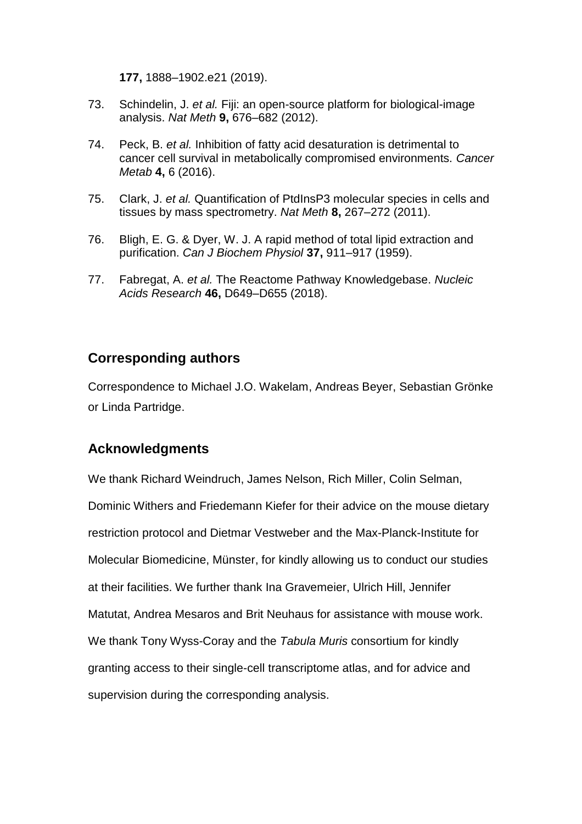**177,** 1888–1902.e21 (2019).

- 73. Schindelin, J. *et al.* Fiji: an open-source platform for biological-image analysis. *Nat Meth* **9,** 676–682 (2012).
- 74. Peck, B. *et al.* Inhibition of fatty acid desaturation is detrimental to cancer cell survival in metabolically compromised environments. *Cancer Metab* **4,** 6 (2016).
- 75. Clark, J. *et al.* Quantification of PtdInsP3 molecular species in cells and tissues by mass spectrometry. *Nat Meth* **8,** 267–272 (2011).
- 76. Bligh, E. G. & Dyer, W. J. A rapid method of total lipid extraction and purification. *Can J Biochem Physiol* **37,** 911–917 (1959).
- 77. Fabregat, A. *et al.* The Reactome Pathway Knowledgebase. *Nucleic Acids Research* **46,** D649–D655 (2018).

## **Corresponding authors**

Correspondence to Michael J.O. Wakelam, Andreas Beyer, Sebastian Grönke or Linda Partridge.

## **Acknowledgments**

We thank Richard Weindruch, James Nelson, Rich Miller, Colin Selman, Dominic Withers and Friedemann Kiefer for their advice on the mouse dietary restriction protocol and Dietmar Vestweber and the Max-Planck-Institute for Molecular Biomedicine, Münster, for kindly allowing us to conduct our studies at their facilities. We further thank Ina Gravemeier, Ulrich Hill, Jennifer Matutat, Andrea Mesaros and Brit Neuhaus for assistance with mouse work. We thank Tony Wyss-Coray and the *Tabula Muris* consortium for kindly granting access to their single-cell transcriptome atlas, and for advice and supervision during the corresponding analysis.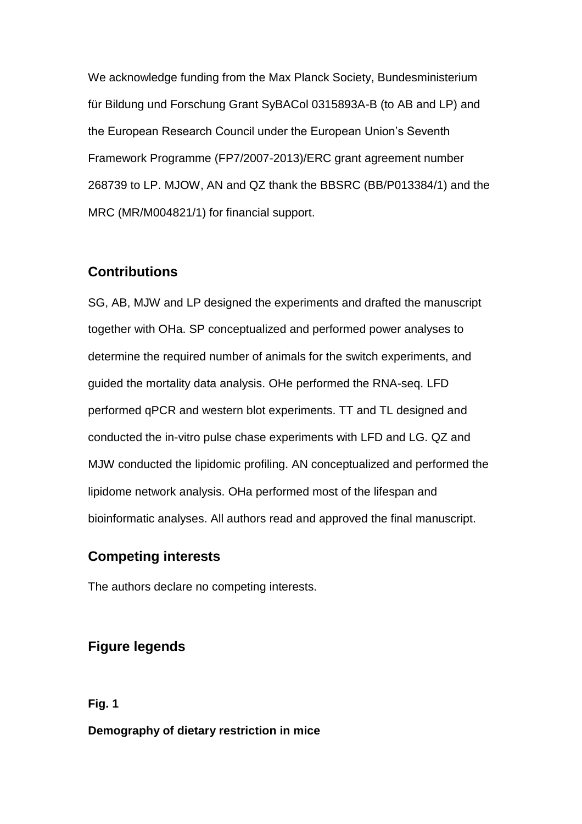We acknowledge funding from the Max Planck Society, Bundesministerium für Bildung und Forschung Grant SyBACol 0315893A-B (to AB and LP) and the European Research Council under the European Union's Seventh Framework Programme (FP7/2007-2013)/ERC grant agreement number 268739 to LP. MJOW, AN and QZ thank the BBSRC (BB/P013384/1) and the MRC (MR/M004821/1) for financial support.

## **Contributions**

SG, AB, MJW and LP designed the experiments and drafted the manuscript together with OHa. SP conceptualized and performed power analyses to determine the required number of animals for the switch experiments, and guided the mortality data analysis. OHe performed the RNA-seq. LFD performed qPCR and western blot experiments. TT and TL designed and conducted the in-vitro pulse chase experiments with LFD and LG. QZ and MJW conducted the lipidomic profiling. AN conceptualized and performed the lipidome network analysis. OHa performed most of the lifespan and bioinformatic analyses. All authors read and approved the final manuscript.

## **Competing interests**

The authors declare no competing interests.

## **Figure legends**

**Fig. 1**

**Demography of dietary restriction in mice**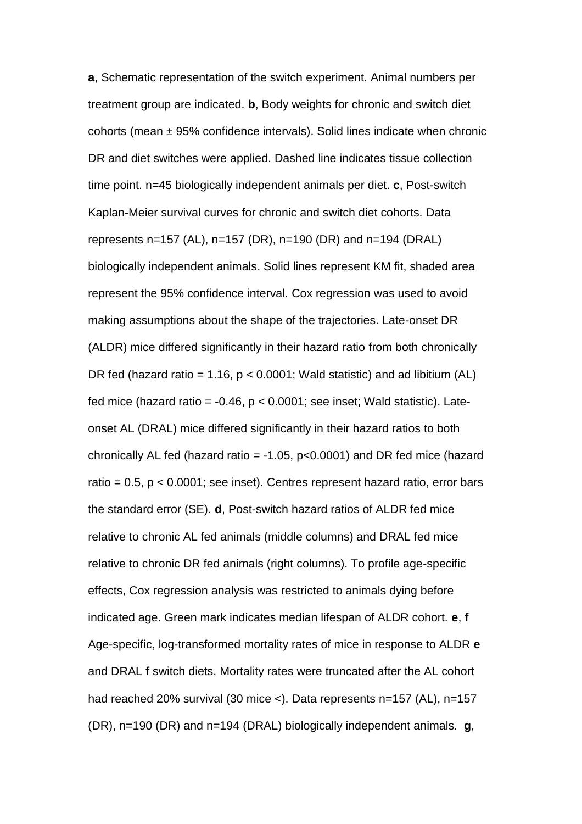**a**, Schematic representation of the switch experiment. Animal numbers per treatment group are indicated. **b**, Body weights for chronic and switch diet cohorts (mean ± 95% confidence intervals). Solid lines indicate when chronic DR and diet switches were applied. Dashed line indicates tissue collection time point. n=45 biologically independent animals per diet. **c**, Post-switch Kaplan-Meier survival curves for chronic and switch diet cohorts. Data represents n=157 (AL), n=157 (DR), n=190 (DR) and n=194 (DRAL) biologically independent animals. Solid lines represent KM fit, shaded area represent the 95% confidence interval. Cox regression was used to avoid making assumptions about the shape of the trajectories. Late-onset DR (ALDR) mice differed significantly in their hazard ratio from both chronically DR fed (hazard ratio = 1.16,  $p < 0.0001$ ; Wald statistic) and ad libitium (AL) fed mice (hazard ratio =  $-0.46$ ,  $p < 0.0001$ ; see inset; Wald statistic). Lateonset AL (DRAL) mice differed significantly in their hazard ratios to both chronically AL fed (hazard ratio =  $-1.05$ , p<0.0001) and DR fed mice (hazard ratio =  $0.5$ ,  $p < 0.0001$ ; see inset). Centres represent hazard ratio, error bars the standard error (SE). **d**, Post-switch hazard ratios of ALDR fed mice relative to chronic AL fed animals (middle columns) and DRAL fed mice relative to chronic DR fed animals (right columns). To profile age-specific effects, Cox regression analysis was restricted to animals dying before indicated age. Green mark indicates median lifespan of ALDR cohort. **e**, **f** Age-specific, log-transformed mortality rates of mice in response to ALDR **e** and DRAL **f** switch diets. Mortality rates were truncated after the AL cohort had reached 20% survival (30 mice <). Data represents n=157 (AL), n=157 (DR), n=190 (DR) and n=194 (DRAL) biologically independent animals. **g**,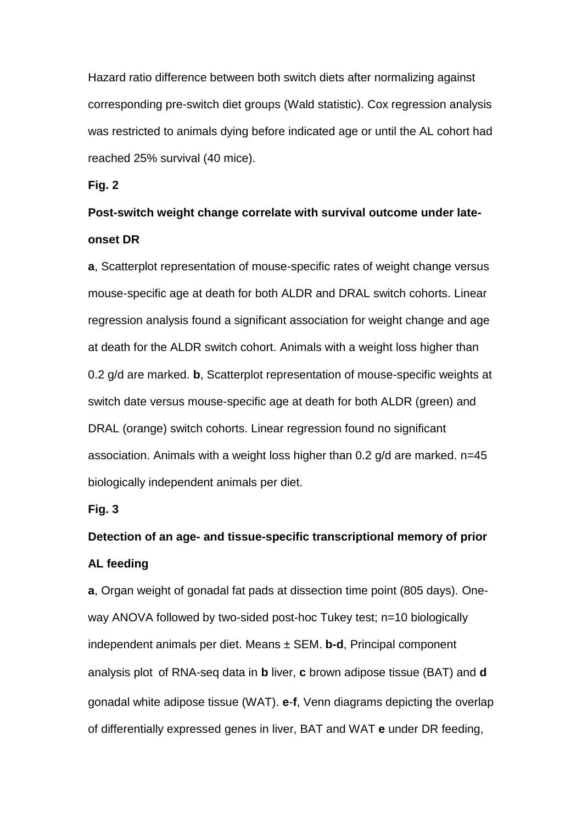Hazard ratio difference between both switch diets after normalizing against corresponding pre-switch diet groups (Wald statistic). Cox regression analysis was restricted to animals dying before indicated age or until the AL cohort had reached 25% survival (40 mice).

**Fig. 2**

# **Post-switch weight change correlate with survival outcome under lateonset DR**

**a**, Scatterplot representation of mouse-specific rates of weight change versus mouse-specific age at death for both ALDR and DRAL switch cohorts. Linear regression analysis found a significant association for weight change and age at death for the ALDR switch cohort. Animals with a weight loss higher than 0.2 g/d are marked. **b**, Scatterplot representation of mouse-specific weights at switch date versus mouse-specific age at death for both ALDR (green) and DRAL (orange) switch cohorts. Linear regression found no significant association. Animals with a weight loss higher than 0.2 g/d are marked. n=45 biologically independent animals per diet.

## **Fig. 3**

# **Detection of an age- and tissue-specific transcriptional memory of prior AL feeding**

**a**, Organ weight of gonadal fat pads at dissection time point (805 days). Oneway ANOVA followed by two-sided post-hoc Tukey test; n=10 biologically independent animals per diet. Means ± SEM. **b-d**, Principal component analysis plot of RNA-seq data in **b** liver, **c** brown adipose tissue (BAT) and **d** gonadal white adipose tissue (WAT). **e**-**f**, Venn diagrams depicting the overlap of differentially expressed genes in liver, BAT and WAT **e** under DR feeding,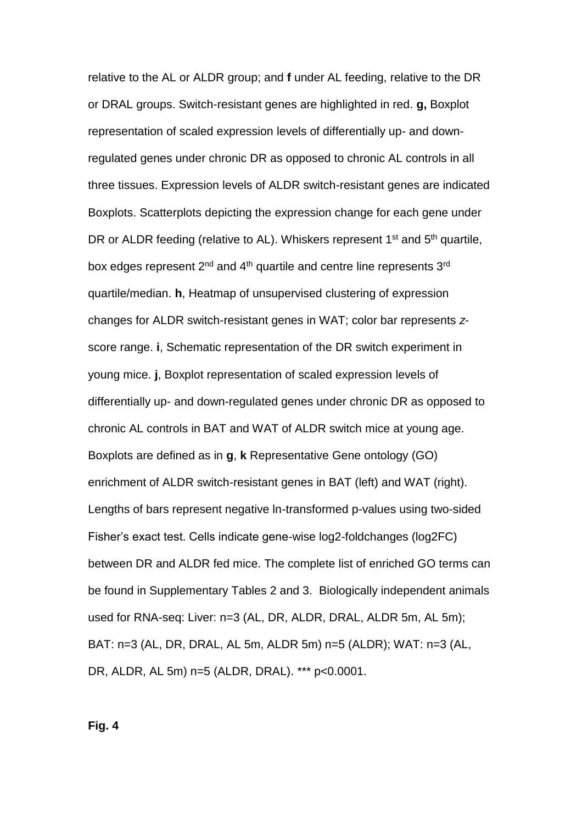relative to the AL or ALDR group; and **f** under AL feeding, relative to the DR or DRAL groups. Switch-resistant genes are highlighted in red. **g,** Boxplot representation of scaled expression levels of differentially up- and downregulated genes under chronic DR as opposed to chronic AL controls in all three tissues. Expression levels of ALDR switch-resistant genes are indicated Boxplots. Scatterplots depicting the expression change for each gene under DR or ALDR feeding (relative to AL). Whiskers represent 1<sup>st</sup> and 5<sup>th</sup> quartile, box edges represent 2<sup>nd</sup> and 4<sup>th</sup> quartile and centre line represents 3<sup>rd</sup> quartile/median. **h**, Heatmap of unsupervised clustering of expression changes for ALDR switch-resistant genes in WAT; color bar represents *z*score range. **i**, Schematic representation of the DR switch experiment in young mice. **j**, Boxplot representation of scaled expression levels of differentially up- and down-regulated genes under chronic DR as opposed to chronic AL controls in BAT and WAT of ALDR switch mice at young age. Boxplots are defined as in **g**, **k** Representative Gene ontology (GO) enrichment of ALDR switch-resistant genes in BAT (left) and WAT (right). Lengths of bars represent negative ln-transformed p-values using two-sided Fisher's exact test. Cells indicate gene-wise log2-foldchanges (log2FC) between DR and ALDR fed mice. The complete list of enriched GO terms can be found in Supplementary Tables 2 and 3. Biologically independent animals used for RNA-seq: Liver: n=3 (AL, DR, ALDR, DRAL, ALDR 5m, AL 5m); BAT: n=3 (AL, DR, DRAL, AL 5m, ALDR 5m) n=5 (ALDR); WAT: n=3 (AL, DR, ALDR, AL 5m) n=5 (ALDR, DRAL). \*\*\* p<0.0001.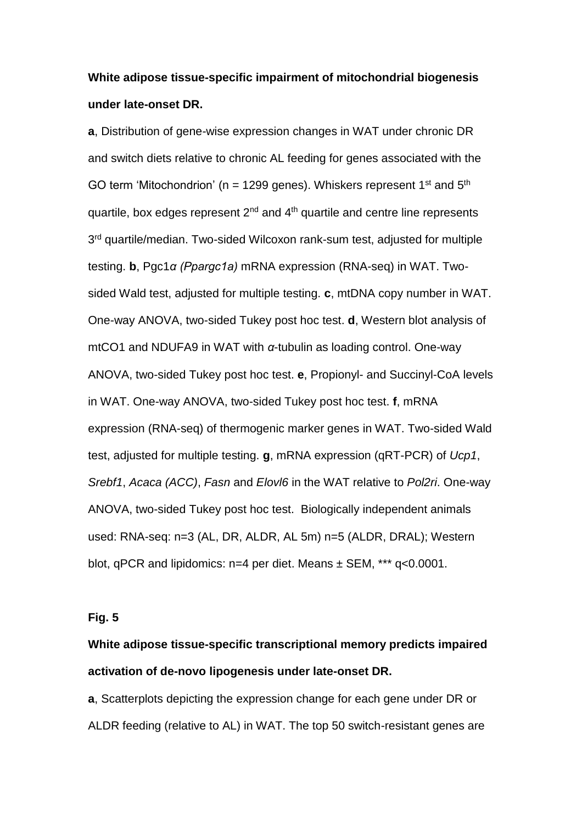## **White adipose tissue-specific impairment of mitochondrial biogenesis under late-onset DR.**

**a**, Distribution of gene-wise expression changes in WAT under chronic DR and switch diets relative to chronic AL feeding for genes associated with the GO term 'Mitochondrion' ( $n = 1299$  genes). Whiskers represent 1<sup>st</sup> and 5<sup>th</sup> quartile, box edges represent  $2<sup>nd</sup>$  and  $4<sup>th</sup>$  quartile and centre line represents 3<sup>rd</sup> quartile/median. Two-sided Wilcoxon rank-sum test, adjusted for multiple testing. **b**, Pgc1*α (Ppargc1a)* mRNA expression (RNA-seq) in WAT. Twosided Wald test, adjusted for multiple testing. **c**, mtDNA copy number in WAT. One-way ANOVA, two-sided Tukey post hoc test. **d**, Western blot analysis of mtCO1 and NDUFA9 in WAT with *α*-tubulin as loading control. One-way ANOVA, two-sided Tukey post hoc test. **e**, Propionyl- and Succinyl-CoA levels in WAT. One-way ANOVA, two-sided Tukey post hoc test. **f**, mRNA expression (RNA-seq) of thermogenic marker genes in WAT. Two-sided Wald test, adjusted for multiple testing. **g**, mRNA expression (qRT-PCR) of *Ucp1*, *Srebf1*, *Acaca (ACC)*, *Fasn* and *Elovl6* in the WAT relative to *Pol2ri*. One-way ANOVA, two-sided Tukey post hoc test. Biologically independent animals used: RNA-seq: n=3 (AL, DR, ALDR, AL 5m) n=5 (ALDR, DRAL); Western blot, qPCR and lipidomics: n=4 per diet. Means ± SEM, \*\*\* q<0.0001.

### **Fig. 5**

# **White adipose tissue-specific transcriptional memory predicts impaired activation of de-novo lipogenesis under late-onset DR.**

**a**, Scatterplots depicting the expression change for each gene under DR or ALDR feeding (relative to AL) in WAT. The top 50 switch-resistant genes are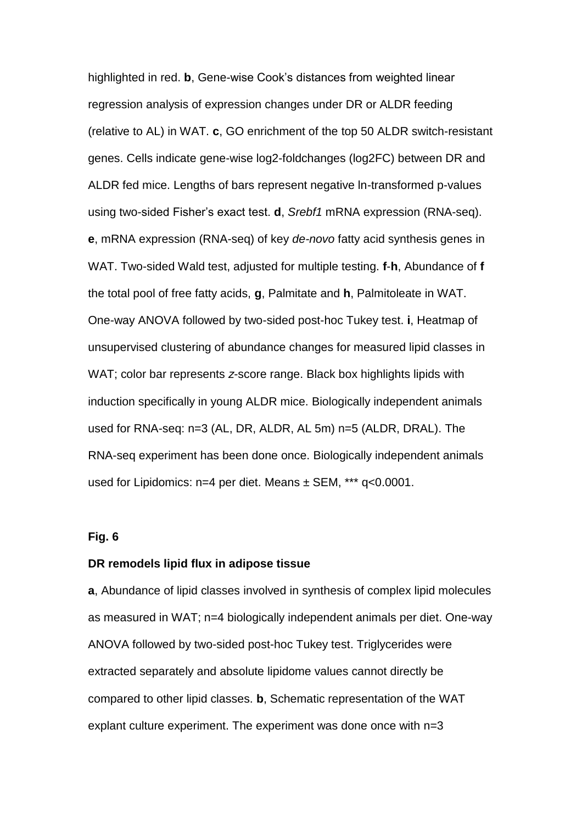highlighted in red. **b**, Gene-wise Cook's distances from weighted linear regression analysis of expression changes under DR or ALDR feeding (relative to AL) in WAT. **c**, GO enrichment of the top 50 ALDR switch-resistant genes. Cells indicate gene-wise log2-foldchanges (log2FC) between DR and ALDR fed mice. Lengths of bars represent negative ln-transformed p-values using two-sided Fisher's exact test. **d**, *Srebf1* mRNA expression (RNA-seq). **e**, mRNA expression (RNA-seq) of key *de-novo* fatty acid synthesis genes in WAT. Two-sided Wald test, adjusted for multiple testing. **f**-**h**, Abundance of **f** the total pool of free fatty acids, **g**, Palmitate and **h**, Palmitoleate in WAT. One-way ANOVA followed by two-sided post-hoc Tukey test. **i**, Heatmap of unsupervised clustering of abundance changes for measured lipid classes in WAT; color bar represents *z*-score range. Black box highlights lipids with induction specifically in young ALDR mice. Biologically independent animals used for RNA-seq: n=3 (AL, DR, ALDR, AL 5m) n=5 (ALDR, DRAL). The RNA-seq experiment has been done once. Biologically independent animals used for Lipidomics:  $n=4$  per diet. Means  $\pm$  SEM, \*\*\* q<0.0001.

### **Fig. 6**

### **DR remodels lipid flux in adipose tissue**

**a**, Abundance of lipid classes involved in synthesis of complex lipid molecules as measured in WAT; n=4 biologically independent animals per diet. One-way ANOVA followed by two-sided post-hoc Tukey test. Triglycerides were extracted separately and absolute lipidome values cannot directly be compared to other lipid classes. **b**, Schematic representation of the WAT explant culture experiment. The experiment was done once with n=3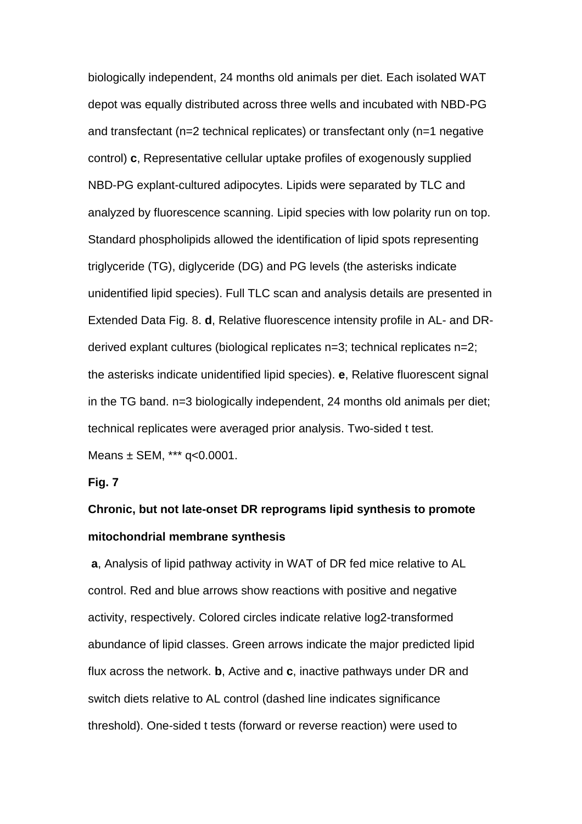biologically independent, 24 months old animals per diet. Each isolated WAT depot was equally distributed across three wells and incubated with NBD-PG and transfectant (n=2 technical replicates) or transfectant only (n=1 negative control) **c**, Representative cellular uptake profiles of exogenously supplied NBD-PG explant-cultured adipocytes. Lipids were separated by TLC and analyzed by fluorescence scanning. Lipid species with low polarity run on top. Standard phospholipids allowed the identification of lipid spots representing triglyceride (TG), diglyceride (DG) and PG levels (the asterisks indicate unidentified lipid species). Full TLC scan and analysis details are presented in Extended Data Fig. 8. **d**, Relative fluorescence intensity profile in AL- and DRderived explant cultures (biological replicates n=3; technical replicates n=2; the asterisks indicate unidentified lipid species). **e**, Relative fluorescent signal in the TG band. n=3 biologically independent, 24 months old animals per diet; technical replicates were averaged prior analysis. Two-sided t test. Means ± SEM, \*\*\* q<0.0001.

**Fig. 7**

# **Chronic, but not late-onset DR reprograms lipid synthesis to promote mitochondrial membrane synthesis**

**a**, Analysis of lipid pathway activity in WAT of DR fed mice relative to AL control. Red and blue arrows show reactions with positive and negative activity, respectively. Colored circles indicate relative log2-transformed abundance of lipid classes. Green arrows indicate the major predicted lipid flux across the network. **b**, Active and **c**, inactive pathways under DR and switch diets relative to AL control (dashed line indicates significance threshold). One-sided t tests (forward or reverse reaction) were used to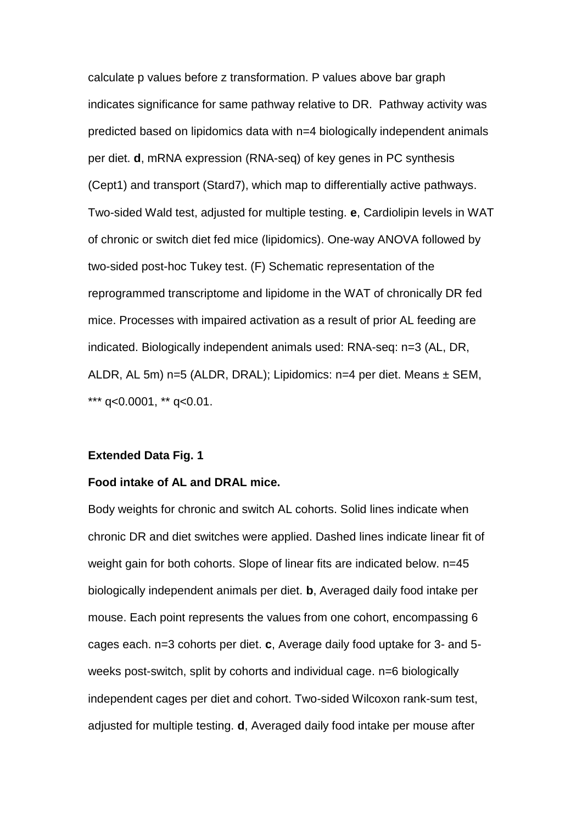calculate p values before z transformation. P values above bar graph indicates significance for same pathway relative to DR. Pathway activity was predicted based on lipidomics data with n=4 biologically independent animals per diet. **d**, mRNA expression (RNA-seq) of key genes in PC synthesis (Cept1) and transport (Stard7), which map to differentially active pathways. Two-sided Wald test, adjusted for multiple testing. **e**, Cardiolipin levels in WAT of chronic or switch diet fed mice (lipidomics). One-way ANOVA followed by two-sided post-hoc Tukey test. (F) Schematic representation of the reprogrammed transcriptome and lipidome in the WAT of chronically DR fed mice. Processes with impaired activation as a result of prior AL feeding are indicated. Biologically independent animals used: RNA-seq: n=3 (AL, DR, ALDR, AL 5m) n=5 (ALDR, DRAL); Lipidomics: n=4 per diet. Means ± SEM, \*\*\*  $q<0.0001$ , \*\*  $q<0.01$ .

#### **Extended Data Fig. 1**

### **Food intake of AL and DRAL mice.**

Body weights for chronic and switch AL cohorts. Solid lines indicate when chronic DR and diet switches were applied. Dashed lines indicate linear fit of weight gain for both cohorts. Slope of linear fits are indicated below. n=45 biologically independent animals per diet. **b**, Averaged daily food intake per mouse. Each point represents the values from one cohort, encompassing 6 cages each. n=3 cohorts per diet. **c**, Average daily food uptake for 3- and 5 weeks post-switch, split by cohorts and individual cage. n=6 biologically independent cages per diet and cohort. Two-sided Wilcoxon rank-sum test, adjusted for multiple testing. **d**, Averaged daily food intake per mouse after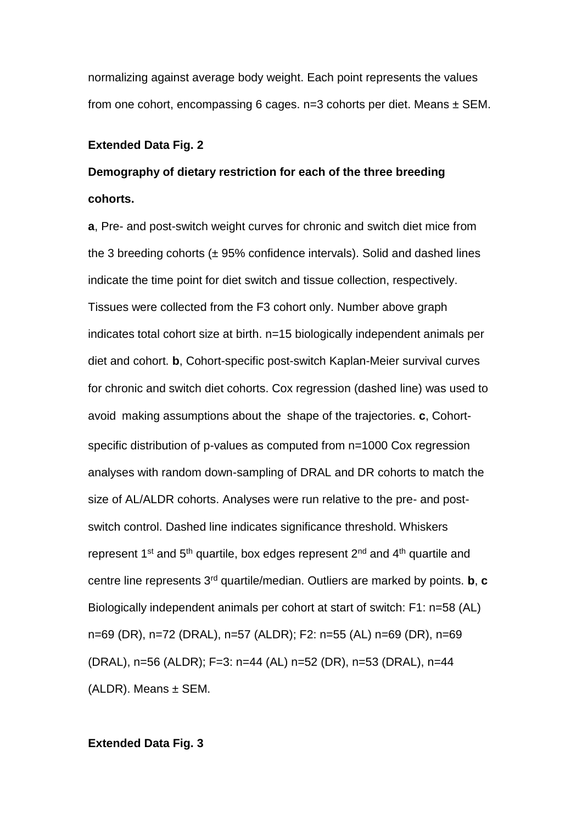normalizing against average body weight. Each point represents the values from one cohort, encompassing 6 cages.  $n=3$  cohorts per diet. Means  $\pm$  SEM.

### **Extended Data Fig. 2**

# **Demography of dietary restriction for each of the three breeding cohorts.**

**a**, Pre- and post-switch weight curves for chronic and switch diet mice from the 3 breeding cohorts  $(± 95%$  confidence intervals). Solid and dashed lines indicate the time point for diet switch and tissue collection, respectively. Tissues were collected from the F3 cohort only. Number above graph indicates total cohort size at birth. n=15 biologically independent animals per diet and cohort. **b**, Cohort-specific post-switch Kaplan-Meier survival curves for chronic and switch diet cohorts. Cox regression (dashed line) was used to avoid making assumptions about the shape of the trajectories. **c**, Cohortspecific distribution of p-values as computed from n=1000 Cox regression analyses with random down-sampling of DRAL and DR cohorts to match the size of AL/ALDR cohorts. Analyses were run relative to the pre- and postswitch control. Dashed line indicates significance threshold. Whiskers represent  $1^{st}$  and  $5^{th}$  quartile, box edges represent  $2^{nd}$  and  $4^{th}$  quartile and centre line represents 3rd quartile/median. Outliers are marked by points. **b**, **c**  Biologically independent animals per cohort at start of switch: F1: n=58 (AL) n=69 (DR), n=72 (DRAL), n=57 (ALDR); F2: n=55 (AL) n=69 (DR), n=69 (DRAL), n=56 (ALDR); F=3: n=44 (AL) n=52 (DR), n=53 (DRAL), n=44  $(ALDR)$ . Means  $\pm$  SEM.

### **Extended Data Fig. 3**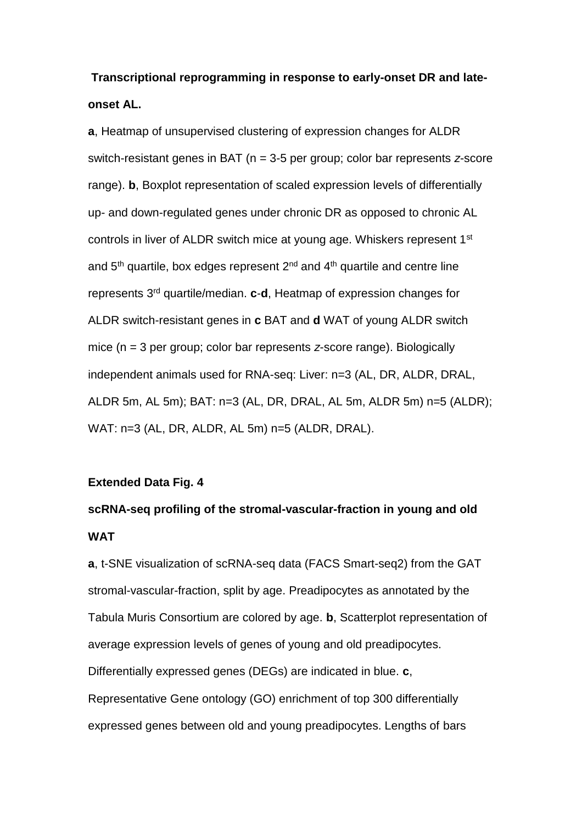**Transcriptional reprogramming in response to early-onset DR and lateonset AL.**

**a**, Heatmap of unsupervised clustering of expression changes for ALDR switch-resistant genes in BAT (n = 3-5 per group; color bar represents *z*-score range). **b**, Boxplot representation of scaled expression levels of differentially up- and down-regulated genes under chronic DR as opposed to chronic AL controls in liver of ALDR switch mice at young age. Whiskers represent 1<sup>st</sup> and 5<sup>th</sup> quartile, box edges represent 2<sup>nd</sup> and 4<sup>th</sup> quartile and centre line represents 3rd quartile/median. **c**-**d**, Heatmap of expression changes for ALDR switch-resistant genes in **c** BAT and **d** WAT of young ALDR switch mice (n = 3 per group; color bar represents *z*-score range). Biologically independent animals used for RNA-seq: Liver: n=3 (AL, DR, ALDR, DRAL, ALDR 5m, AL 5m); BAT: n=3 (AL, DR, DRAL, AL 5m, ALDR 5m) n=5 (ALDR); WAT: n=3 (AL, DR, ALDR, AL 5m) n=5 (ALDR, DRAL).

### **Extended Data Fig. 4**

# **scRNA-seq profiling of the stromal-vascular-fraction in young and old WAT**

**a**, t-SNE visualization of scRNA-seq data (FACS Smart-seq2) from the GAT stromal-vascular-fraction, split by age. Preadipocytes as annotated by the Tabula Muris Consortium are colored by age. **b**, Scatterplot representation of average expression levels of genes of young and old preadipocytes. Differentially expressed genes (DEGs) are indicated in blue. **c**, Representative Gene ontology (GO) enrichment of top 300 differentially expressed genes between old and young preadipocytes. Lengths of bars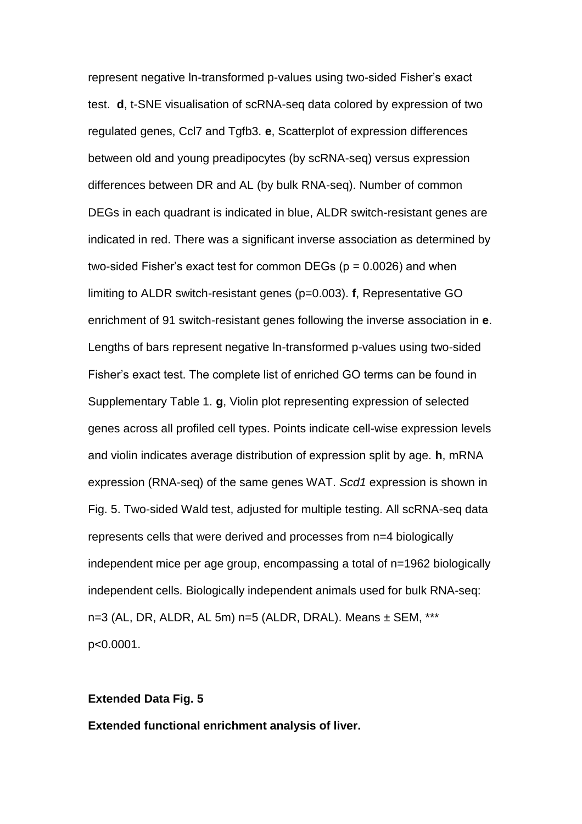represent negative ln-transformed p-values using two-sided Fisher's exact test. **d**, t-SNE visualisation of scRNA-seq data colored by expression of two regulated genes, Ccl7 and Tgfb3. **e**, Scatterplot of expression differences between old and young preadipocytes (by scRNA-seq) versus expression differences between DR and AL (by bulk RNA-seq). Number of common DEGs in each quadrant is indicated in blue, ALDR switch-resistant genes are indicated in red. There was a significant inverse association as determined by two-sided Fisher's exact test for common DEGs ( $p = 0.0026$ ) and when limiting to ALDR switch-resistant genes (p=0.003). **f**, Representative GO enrichment of 91 switch-resistant genes following the inverse association in **e**. Lengths of bars represent negative ln-transformed p-values using two-sided Fisher's exact test. The complete list of enriched GO terms can be found in Supplementary Table 1. **g**, Violin plot representing expression of selected genes across all profiled cell types. Points indicate cell-wise expression levels and violin indicates average distribution of expression split by age. **h**, mRNA expression (RNA-seq) of the same genes WAT. *Scd1* expression is shown in Fig. 5. Two-sided Wald test, adjusted for multiple testing. All scRNA-seq data represents cells that were derived and processes from n=4 biologically independent mice per age group, encompassing a total of n=1962 biologically independent cells. Biologically independent animals used for bulk RNA-seq: n=3 (AL, DR, ALDR, AL 5m) n=5 (ALDR, DRAL). Means ± SEM, \*\*\* p<0.0001.

#### **Extended Data Fig. 5**

**Extended functional enrichment analysis of liver.**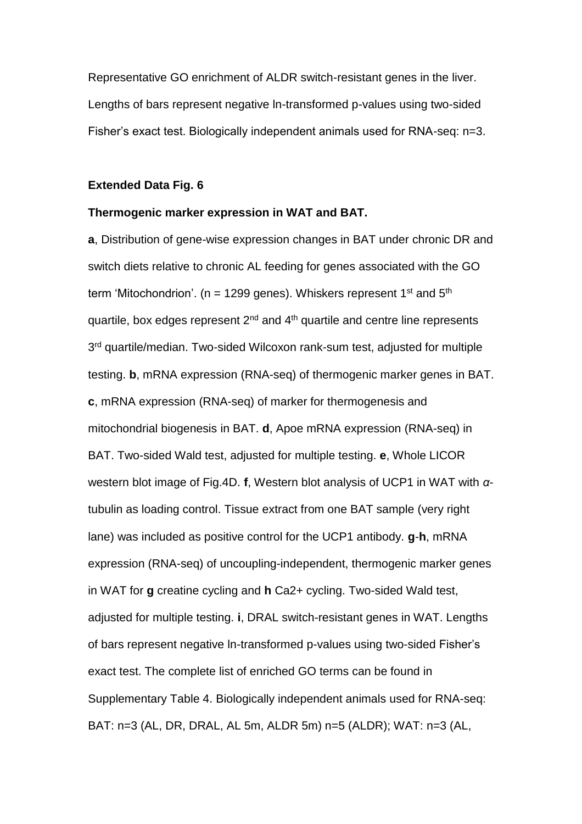Representative GO enrichment of ALDR switch-resistant genes in the liver. Lengths of bars represent negative ln-transformed p-values using two-sided Fisher's exact test. Biologically independent animals used for RNA-seq: n=3.

### **Extended Data Fig. 6**

### **Thermogenic marker expression in WAT and BAT.**

**a**, Distribution of gene-wise expression changes in BAT under chronic DR and switch diets relative to chronic AL feeding for genes associated with the GO term 'Mitochondrion'. (n = 1299 genes). Whiskers represent  $1<sup>st</sup>$  and  $5<sup>th</sup>$ quartile, box edges represent  $2<sup>nd</sup>$  and  $4<sup>th</sup>$  quartile and centre line represents 3 rd quartile/median. Two-sided Wilcoxon rank-sum test, adjusted for multiple testing. **b**, mRNA expression (RNA-seq) of thermogenic marker genes in BAT. **c**, mRNA expression (RNA-seq) of marker for thermogenesis and mitochondrial biogenesis in BAT. **d**, Apoe mRNA expression (RNA-seq) in BAT. Two-sided Wald test, adjusted for multiple testing. **e**, Whole LICOR western blot image of Fig.4D. **f**, Western blot analysis of UCP1 in WAT with *α*tubulin as loading control. Tissue extract from one BAT sample (very right lane) was included as positive control for the UCP1 antibody. **g**-**h**, mRNA expression (RNA-seq) of uncoupling-independent, thermogenic marker genes in WAT for **g** creatine cycling and **h** Ca2+ cycling. Two-sided Wald test, adjusted for multiple testing. **i**, DRAL switch-resistant genes in WAT. Lengths of bars represent negative ln-transformed p-values using two-sided Fisher's exact test. The complete list of enriched GO terms can be found in Supplementary Table 4. Biologically independent animals used for RNA-seq: BAT: n=3 (AL, DR, DRAL, AL 5m, ALDR 5m) n=5 (ALDR); WAT: n=3 (AL,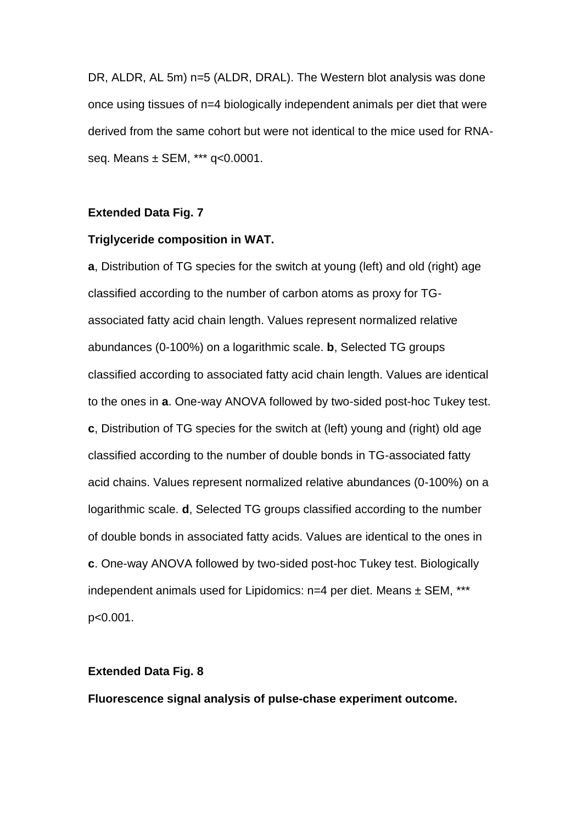DR, ALDR, AL 5m) n=5 (ALDR, DRAL). The Western blot analysis was done once using tissues of n=4 biologically independent animals per diet that were derived from the same cohort but were not identical to the mice used for RNAseq. Means ± SEM, \*\*\* q<0.0001.

### **Extended Data Fig. 7**

### **Triglyceride composition in WAT.**

**a**, Distribution of TG species for the switch at young (left) and old (right) age classified according to the number of carbon atoms as proxy for TGassociated fatty acid chain length. Values represent normalized relative abundances (0-100%) on a logarithmic scale. **b**, Selected TG groups classified according to associated fatty acid chain length. Values are identical to the ones in **a**. One-way ANOVA followed by two-sided post-hoc Tukey test. **c**, Distribution of TG species for the switch at (left) young and (right) old age classified according to the number of double bonds in TG-associated fatty acid chains. Values represent normalized relative abundances (0-100%) on a logarithmic scale. **d**, Selected TG groups classified according to the number of double bonds in associated fatty acids. Values are identical to the ones in **c**. One-way ANOVA followed by two-sided post-hoc Tukey test. Biologically independent animals used for Lipidomics: n=4 per diet. Means ± SEM, \*\*\* p<0.001.

### **Extended Data Fig. 8**

**Fluorescence signal analysis of pulse-chase experiment outcome.**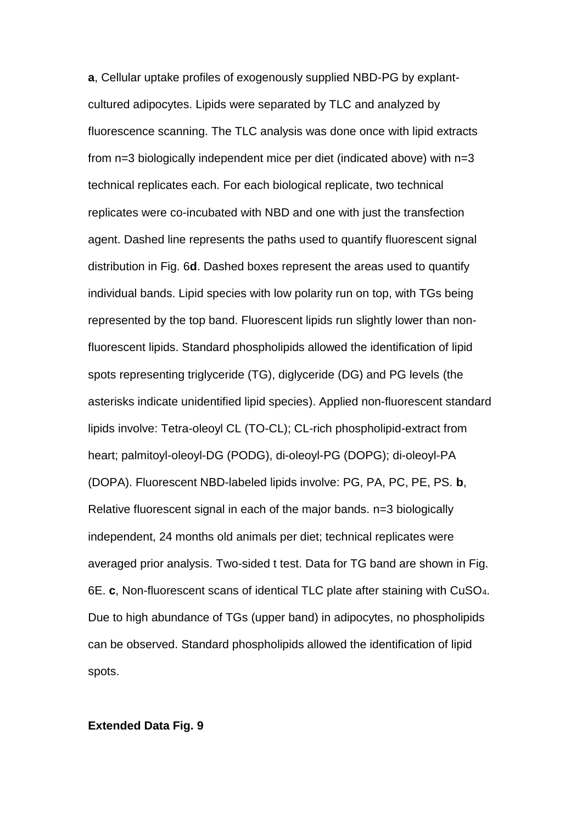**a**, Cellular uptake profiles of exogenously supplied NBD-PG by explantcultured adipocytes. Lipids were separated by TLC and analyzed by fluorescence scanning. The TLC analysis was done once with lipid extracts from n=3 biologically independent mice per diet (indicated above) with n=3 technical replicates each. For each biological replicate, two technical replicates were co-incubated with NBD and one with just the transfection agent. Dashed line represents the paths used to quantify fluorescent signal distribution in Fig. 6**d**. Dashed boxes represent the areas used to quantify individual bands. Lipid species with low polarity run on top, with TGs being represented by the top band. Fluorescent lipids run slightly lower than nonfluorescent lipids. Standard phospholipids allowed the identification of lipid spots representing triglyceride (TG), diglyceride (DG) and PG levels (the asterisks indicate unidentified lipid species). Applied non-fluorescent standard lipids involve: Tetra-oleoyl CL (TO-CL); CL-rich phospholipid-extract from heart; palmitoyl-oleoyl-DG (PODG), di-oleoyl-PG (DOPG); di-oleoyl-PA (DOPA). Fluorescent NBD-labeled lipids involve: PG, PA, PC, PE, PS. **b**, Relative fluorescent signal in each of the major bands. n=3 biologically independent, 24 months old animals per diet; technical replicates were averaged prior analysis. Two-sided t test. Data for TG band are shown in Fig. 6E. **c**, Non-fluorescent scans of identical TLC plate after staining with CuSO4. Due to high abundance of TGs (upper band) in adipocytes, no phospholipids can be observed. Standard phospholipids allowed the identification of lipid spots.

### **Extended Data Fig. 9**